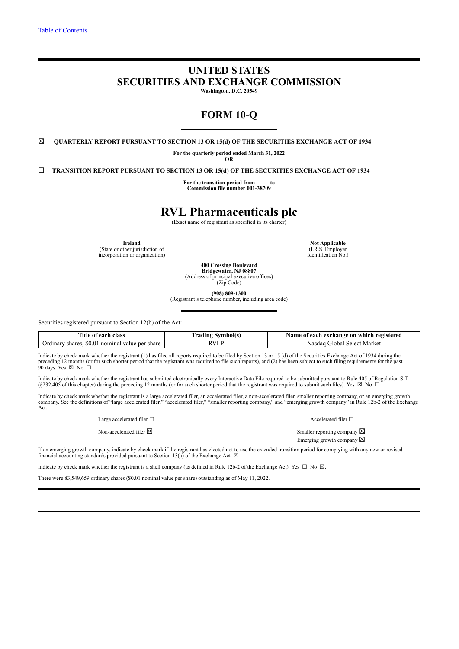# **UNITED STATES SECURITIES AND EXCHANGE COMMISSION**

**Washington, D.C. 20549**

# **FORM 10-Q**

☒ **QUARTERLY REPORT PURSUANT TO SECTION 13 OR 15(d) OF THE SECURITIES EXCHANGE ACT OF 1934**

**For the quarterly period ended March 31, 2022 OR**

☐ **TRANSITION REPORT PURSUANT TO SECTION 13 OR 15(d) OF THE SECURITIES EXCHANGE ACT OF 1934**

**For the transition period from to Commission file number 001-38709**

# **RVL Pharmaceuticals plc**

(Exact name of registrant as specified in its charter)

**Ireland Not Applicable**<br> **Not Applicable**<br> **IR.S. Employer**<br> **IR.S. Employer** (State or other jurisdiction of the internal content of the content of the content of the content of the content of the content of the content of the content of the content of the content of the content of the content of t incorporation or organization)

**400 Crossing Boulevard**

**Bridgewater, NJ 08807** (Address of principal executive offices) (Zip Code)

**(908) 809-1300**

(Registrant's telephone number, including area code)

Securities registered pursuant to Section 12(b) of the Act:

| <b>CONTRACTOR</b><br>`itl6<br>class<br>each<br>oı                     | --<br>∵™hol(s) —<br>`rad.<br>mø                        | each<br>registered<br>Name<br>on<br>. exchange<br>which<br>-01 |
|-----------------------------------------------------------------------|--------------------------------------------------------|----------------------------------------------------------------|
| nominal<br>ner:<br>SO O<br>shares<br>share<br>value<br>ruma<br>$\sim$ | RVI<br>the contract of the contract of the contract of | Select Market<br>eriobal<br>Nasdac                             |

Indicate by check mark whether the registrant (1) has filed all reports required to be filed by Section 13 or 15 (d) of the Securities Exchange Act of 1934 during the preceding 12 months (or for such shorter period that th 90 days. Yes  $\boxtimes$  No  $\square$ 

Indicate by check mark whether the registrant has submitted electronically every Interactive Data File required to be submitted pursuant to Rule 405 of Regulation S-T (§232.405 of this chapter) during the preceding 12 months (or for such shorter period that the registrant was required to submit such files). Yes  $\boxtimes$  No  $\Box$ 

Indicate by check mark whether the registrant is a large accelerated filer, an accelerated filer, a non-accelerated filer, smaller reporting company, or an emerging growth<br>company. See the definitions of "large accelerated Act.

Large accelerated filer □ accelerated filer □ accelerated filer □

Non-accelerated filer  $\boxtimes$  Smaller reporting company  $\boxtimes$ Emerging growth company  $\boxtimes$ 

If an emerging growth company, indicate by check mark if the registrant has elected not to use the extended transition period for complying with any new or revised financial accounting standards provided pursuant to Section 13(a) of the Exchange Act.  $\boxtimes$ 

Indicate by check mark whether the registrant is a shell company (as defined in Rule 12b-2 of the Exchange Act). Yes  $\Box$  No  $\boxtimes$ .

There were 83,549,659 ordinary shares (\$0.01 nominal value per share) outstanding as of May 11, 2022.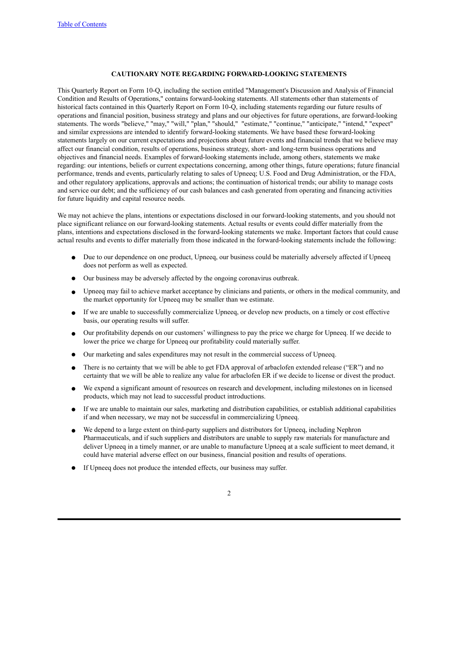## **CAUTIONARY NOTE REGARDING FORWARD-LOOKING STATEMENTS**

This Quarterly Report on Form 10-Q, including the section entitled "Management's Discussion and Analysis of Financial Condition and Results of Operations," contains forward-looking statements. All statements other than statements of historical facts contained in this Quarterly Report on Form 10-Q, including statements regarding our future results of operations and financial position, business strategy and plans and our objectives for future operations, are forward-looking statements. The words "believe," "may," "will," "plan," "should," "estimate," "continue," "anticipate," "intend," "expect" and similar expressions are intended to identify forward-looking statements. We have based these forward-looking statements largely on our current expectations and projections about future events and financial trends that we believe may affect our financial condition, results of operations, business strategy, short- and long-term business operations and objectives and financial needs. Examples of forward-looking statements include, among others, statements we make regarding: our intentions, beliefs or current expectations concerning, among other things, future operations; future financial performance, trends and events, particularly relating to sales of Upneeq; U.S. Food and Drug Administration, or the FDA, and other regulatory applications, approvals and actions; the continuation of historical trends; our ability to manage costs and service our debt; and the sufficiency of our cash balances and cash generated from operating and financing activities for future liquidity and capital resource needs.

We may not achieve the plans, intentions or expectations disclosed in our forward-looking statements, and you should not place significant reliance on our forward-looking statements. Actual results or events could differ materially from the plans, intentions and expectations disclosed in the forward-looking statements we make. Important factors that could cause actual results and events to differ materially from those indicated in the forward-looking statements include the following:

- Due to our dependence on one product, Upneeq, our business could be materially adversely affected if Upneeq does not perform as well as expected.
- Our business may be adversely affected by the ongoing coronavirus outbreak.
- Upneeq may fail to achieve market acceptance by clinicians and patients, or others in the medical community, and the market opportunity for Upneeq may be smaller than we estimate.
- If we are unable to successfully commercialize Upneeq, or develop new products, on a timely or cost effective basis, our operating results will suffer.
- Our profitability depends on our customers' willingness to pay the price we charge for Upneeq. If we decide to lower the price we charge for Upneeq our profitability could materially suffer.
- Our marketing and sales expenditures may not result in the commercial success of Upneeq.
- There is no certainty that we will be able to get FDA approval of arbaclofen extended release ("ER") and no certainty that we will be able to realize any value for arbaclofen ER if we decide to license or divest the product.
- We expend a significant amount of resources on research and development, including milestones on in licensed products, which may not lead to successful product introductions.
- If we are unable to maintain our sales, marketing and distribution capabilities, or establish additional capabilities if and when necessary, we may not be successful in commercializing Upneeq.
- We depend to a large extent on third-party suppliers and distributors for Upneeq, including Nephron Pharmaceuticals, and if such suppliers and distributors are unable to supply raw materials for manufacture and deliver Upneeq in a timely manner, or are unable to manufacture Upneeq at a scale sufficient to meet demand, it could have material adverse effect on our business, financial position and results of operations.
- If Upneeq does not produce the intended effects, our business may suffer.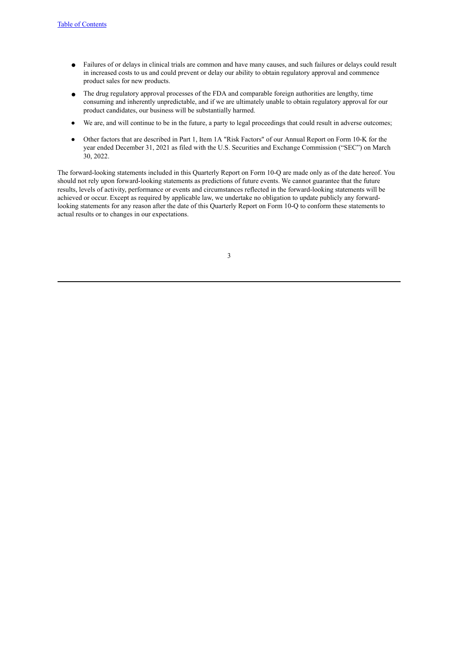- Failures of or delays in clinical trials are common and have many causes, and such failures or delays could result in increased costs to us and could prevent or delay our ability to obtain regulatory approval and commence product sales for new products.
- The drug regulatory approval processes of the FDA and comparable foreign authorities are lengthy, time consuming and inherently unpredictable, and if we are ultimately unable to obtain regulatory approval for our product candidates, our business will be substantially harmed.
- We are, and will continue to be in the future, a party to legal proceedings that could result in adverse outcomes;
- Other factors that are described in Part 1, Item 1A "Risk Factors" of our Annual Report on Form 10-K for the year ended December 31, 2021 as filed with the U.S. Securities and Exchange Commission ("SEC") on March 30, 2022.

The forward-looking statements included in this Quarterly Report on Form 10-Q are made only as of the date hereof. You should not rely upon forward-looking statements as predictions of future events. We cannot guarantee that the future results, levels of activity, performance or events and circumstances reflected in the forward-looking statements will be achieved or occur. Except as required by applicable law, we undertake no obligation to update publicly any forwardlooking statements for any reason after the date of this Quarterly Report on Form 10-Q to conform these statements to actual results or to changes in our expectations.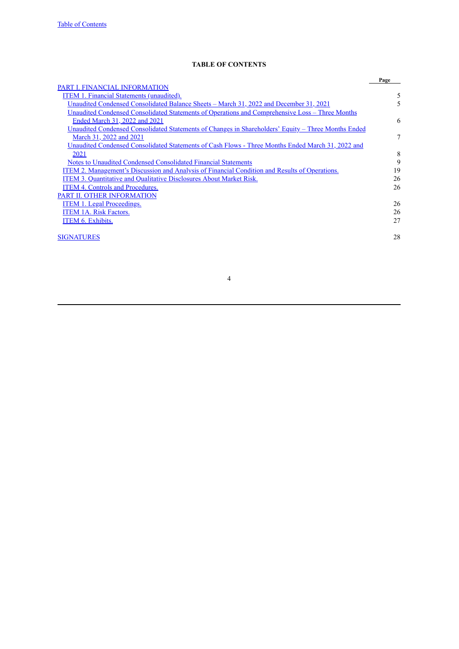## **TABLE OF CONTENTS**

<span id="page-3-0"></span>

|                                                                                                               | Page   |
|---------------------------------------------------------------------------------------------------------------|--------|
| PART I. FINANCIAL INFORMATION                                                                                 |        |
| ITEM 1. Financial Statements (unaudited).                                                                     | 5      |
| Unaudited Condensed Consolidated Balance Sheets – March 31, 2022 and December 31, 2021                        | 5      |
| <u><b>Unaudited Condensed Consolidated Statements of Operations and Comprehensive Loss - Three Months</b></u> |        |
| Ended March 31, 2022 and 2021                                                                                 | 6      |
| Unaudited Condensed Consolidated Statements of Changes in Shareholders' Equity – Three Months Ended           |        |
| March 31, 2022 and 2021                                                                                       | $\tau$ |
| Unaudited Condensed Consolidated Statements of Cash Flows - Three Months Ended March 31, 2022 and             |        |
| 2021                                                                                                          | 8      |
| Notes to Unaudited Condensed Consolidated Financial Statements                                                | 9      |
| <u>ITEM 2. Management's Discussion and Analysis of Financial Condition and Results of Operations.</u>         | 19     |
| <b>ITEM 3. Quantitative and Qualitative Disclosures About Market Risk.</b>                                    | 26     |
| ITEM 4. Controls and Procedures.                                                                              | 26     |
| PART II. OTHER INFORMATION                                                                                    |        |
| <b>ITEM 1. Legal Proceedings.</b>                                                                             | 26     |
| <b>ITEM 1A. Risk Factors.</b>                                                                                 | 26     |
| <b>ITEM 6. Exhibits.</b>                                                                                      | 27     |
| <b>SIGNATURES</b>                                                                                             | 28     |
|                                                                                                               |        |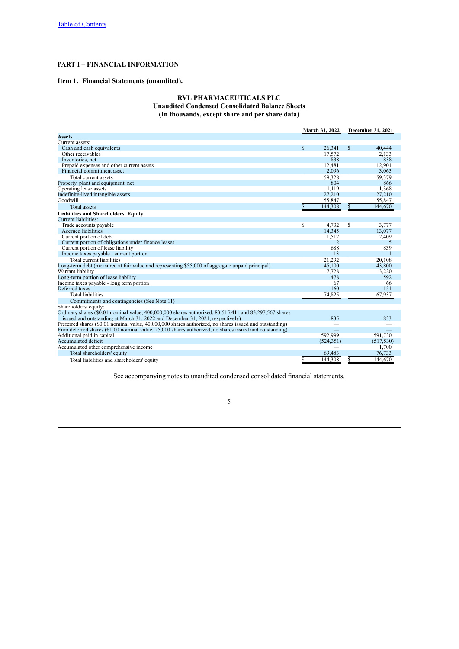## <span id="page-4-0"></span>**PART I – FINANCIAL INFORMATION**

## <span id="page-4-2"></span><span id="page-4-1"></span>**Item 1. Financial Statements (unaudited).**

## **RVL PHARMACEUTICALS PLC Unaudited Condensed Consolidated Balance Sheets**

**(In thousands, except share and per share data)**

|                                                                                                                   |    | March 31, 2022 |    | December 31, 2021 |  |  |
|-------------------------------------------------------------------------------------------------------------------|----|----------------|----|-------------------|--|--|
| <b>Assets</b>                                                                                                     |    |                |    |                   |  |  |
| Current assets:                                                                                                   |    |                |    |                   |  |  |
| Cash and cash equivalents                                                                                         | \$ | 26,341         | \$ | 40.444            |  |  |
| Other receivables                                                                                                 |    | 17,572         |    | 2,133             |  |  |
| Inventories, net                                                                                                  |    | 838            |    | 838               |  |  |
| Prepaid expenses and other current assets                                                                         |    | 12,481         |    | 12,901            |  |  |
| Financial commitment asset                                                                                        |    | 2.096          |    | 3.063             |  |  |
| Total current assets                                                                                              |    | 59.328         |    | 59,379            |  |  |
| Property, plant and equipment, net                                                                                |    | 804            |    | 866               |  |  |
| Operating lease assets                                                                                            |    | 1,119          |    | 1,368             |  |  |
| Indefinite-lived intangible assets                                                                                |    | 27,210         |    | 27,210            |  |  |
| Goodwill                                                                                                          |    | 55,847         |    | 55,847            |  |  |
| <b>Total assets</b>                                                                                               |    | 144,308        | \$ | 144,670           |  |  |
| <b>Liabilities and Shareholders' Equity</b>                                                                       |    |                |    |                   |  |  |
| Current liabilities:                                                                                              |    |                |    |                   |  |  |
| Trade accounts payable                                                                                            | \$ | 4.732          | S  | 3,777             |  |  |
| Accrued liabilities                                                                                               |    | 14,345         |    | 13.077            |  |  |
| Current portion of debt                                                                                           |    | 1,512          |    | 2,409             |  |  |
| Current portion of obligations under finance leases                                                               |    | $\mathfrak{D}$ |    | 5                 |  |  |
| Current portion of lease liability                                                                                |    | 688            |    | 839               |  |  |
| Income taxes payable - current portion                                                                            |    | 13             |    |                   |  |  |
| Total current liabilities                                                                                         |    | 21,292         |    | 20.108            |  |  |
| Long-term debt (measured at fair value and representing \$55,000 of aggregate unpaid principal)                   |    | 45,100         |    | 43,800            |  |  |
| Warrant liability                                                                                                 |    | 7,728          |    | 3,220             |  |  |
| Long-term portion of lease liability                                                                              |    | 478            |    | 592               |  |  |
| Income taxes payable - long term portion                                                                          |    | 67             |    | 66                |  |  |
| Deferred taxes                                                                                                    |    | 160            |    | 151               |  |  |
| <b>Total liabilities</b>                                                                                          |    | 74,825         |    | 67,937            |  |  |
| Commitments and contingencies (See Note 11)                                                                       |    |                |    |                   |  |  |
| Shareholders' equity:                                                                                             |    |                |    |                   |  |  |
| Ordinary shares (\$0.01 nominal value, 400,000,000 shares authorized, 83,515,411 and 83,297,567 shares            |    |                |    |                   |  |  |
| issued and outstanding at March 31, 2022 and December 31, 2021, respectively)                                     |    | 835            |    | 833               |  |  |
| Preferred shares (\$0.01 nominal value, 40,000,000 shares authorized, no shares issued and outstanding)           |    |                |    |                   |  |  |
| Euro deferred shares ( $\epsilon$ 1.00 nominal value, 25,000 shares authorized, no shares issued and outstanding) |    |                |    |                   |  |  |
| Additional paid in capital                                                                                        |    | 592.999        |    | 591,730           |  |  |
| Accumulated deficit                                                                                               |    | (524, 351)     |    | (517, 530)        |  |  |
| Accumulated other comprehensive income                                                                            |    |                |    | 1.700             |  |  |
| Total shareholders' equity                                                                                        |    | 69,483         |    | 76, 733           |  |  |
| Total liabilities and shareholders' equity                                                                        | \$ | 144.308        | \$ | 144.670           |  |  |

See accompanying notes to unaudited condensed consolidated financial statements.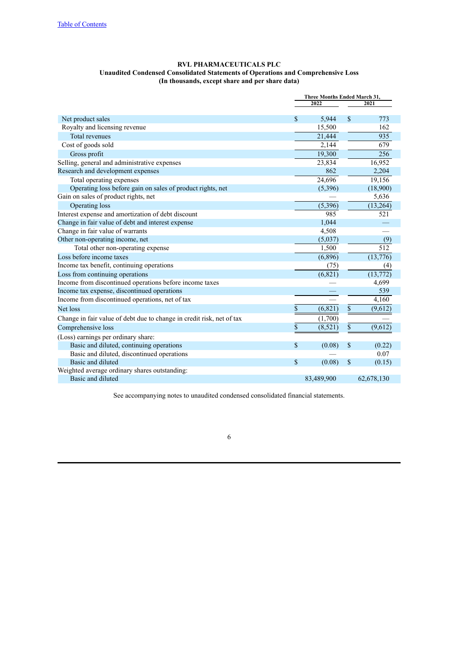<span id="page-5-0"></span>

|                                                                       |      | Three Months Ended March 31, |             |                  |  |
|-----------------------------------------------------------------------|------|------------------------------|-------------|------------------|--|
|                                                                       | 2022 |                              |             | 2021             |  |
| Net product sales                                                     | \$   | 5,944                        | \$          | 773              |  |
| Royalty and licensing revenue                                         |      | 15,500                       |             | 162              |  |
| <b>Total revenues</b>                                                 |      | 21,444                       |             | 935              |  |
| Cost of goods sold                                                    |      | 2,144                        |             | 679              |  |
| Gross profit                                                          |      | 19,300                       |             | 256              |  |
| Selling, general and administrative expenses                          |      | 23,834                       |             | 16,952           |  |
| Research and development expenses                                     |      | 862                          |             | 2,204            |  |
| Total operating expenses                                              |      | 24,696                       |             | 19,156           |  |
| Operating loss before gain on sales of product rights, net            |      | (5,396)                      |             | (18,900)         |  |
| Gain on sales of product rights, net                                  |      |                              |             | 5,636            |  |
| Operating loss                                                        |      | (5,396)                      |             | (13,264)         |  |
| Interest expense and amortization of debt discount                    |      | 985                          |             | 521              |  |
| Change in fair value of debt and interest expense                     |      | 1,044                        |             |                  |  |
| Change in fair value of warrants                                      |      | 4,508                        |             |                  |  |
| Other non-operating income, net                                       |      | (5,037)                      |             | (9)              |  |
| Total other non-operating expense                                     |      | 1,500                        |             | $\overline{512}$ |  |
| Loss before income taxes                                              |      | (6,896)                      |             | (13,776)         |  |
| Income tax benefit, continuing operations                             |      | (75)                         |             | (4)              |  |
| Loss from continuing operations                                       |      | (6, 821)                     |             | (13, 772)        |  |
| Income from discontinued operations before income taxes               |      |                              |             | 4,699            |  |
| Income tax expense, discontinued operations                           |      |                              |             | 539              |  |
| Income from discontinued operations, net of tax                       |      |                              |             | 4,160            |  |
| Net loss                                                              | \$   | (6, 821)                     | $\mathbf S$ | (9,612)          |  |
| Change in fair value of debt due to change in credit risk, net of tax |      | (1,700)                      |             |                  |  |
| Comprehensive loss                                                    | \$   | (8,521)                      | \$          | (9,612)          |  |
| (Loss) earnings per ordinary share:                                   |      |                              |             |                  |  |
| Basic and diluted, continuing operations                              | \$   | (0.08)                       | \$          | (0.22)           |  |
| Basic and diluted, discontinued operations                            |      |                              |             | 0.07             |  |
| Basic and diluted                                                     | \$   | (0.08)                       | \$          | (0.15)           |  |
| Weighted average ordinary shares outstanding:                         |      |                              |             |                  |  |
| Basic and diluted                                                     |      | 83,489,900                   |             | 62,678,130       |  |

## **RVL PHARMACEUTICALS PLC Unaudited Condensed Consolidated Statements of Operations and Comprehensive Loss (In thousands, except share and per share data)**

See accompanying notes to unaudited condensed consolidated financial statements.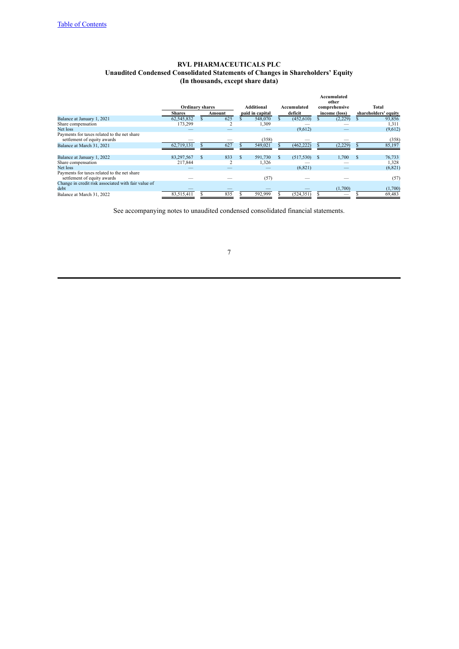## **RVL PHARMACEUTICALS PLC Unaudited Condensed Consolidated Statements of Changes in Shareholders' Equity (In thousands, except share data)**

<span id="page-6-0"></span>

|                                                                            | <b>Ordinary shares</b> |               |        |    | <b>Additional</b> |    | Accumulated | Accumulated<br>other<br>comprehensive |    | Total                |
|----------------------------------------------------------------------------|------------------------|---------------|--------|----|-------------------|----|-------------|---------------------------------------|----|----------------------|
|                                                                            | <b>Shares</b>          |               | Amount |    | paid in capital   |    | deficit     | income (loss)                         |    | shareholders' equity |
| Balance at January 1, 2021                                                 | 62,545,832             |               | 625    |    | 548,070           |    | (452, 610)  | (2,229)                               |    | 93,856               |
| Share compensation                                                         | 173,299                |               |        |    | 1,309             |    |             |                                       |    | 1,311                |
| Net loss                                                                   |                        |               |        |    |                   |    | (9,612)     |                                       |    | (9,612)              |
| Payments for taxes related to the net share<br>settlement of equity awards |                        |               |        |    | (358)             |    |             |                                       |    | (358)                |
| Balance at March 31, 2021                                                  | 62.719.131             |               | 627    |    | 549,021           |    | (462, 222)  | (2,229)                               |    | 85,197               |
|                                                                            |                        |               |        |    |                   |    |             |                                       |    |                      |
| Balance at January 1, 2022                                                 | 83,297,567             | <sup>\$</sup> | 833    | £. | 591,730           | S. | (517, 530)  | 1.700                                 | -S | 76,733               |
| Share compensation                                                         | 217,844                |               |        |    | 1,326             |    |             |                                       |    | 1,328                |
| Net loss                                                                   |                        |               |        |    |                   |    | (6, 821)    |                                       |    | (6, 821)             |
| Payments for taxes related to the net share<br>settlement of equity awards |                        |               |        |    | (57)              |    |             |                                       |    | (57)                 |
| Change in credit risk associated with fair value of<br>debt                |                        |               |        |    |                   |    |             | (1,700)                               |    | (1,700)              |
| Balance at March 31, 2022                                                  | 83,515,411             |               | 835    |    | 592,999           |    | (524, 351)  | _                                     |    | 69,483               |

See accompanying notes to unaudited condensed consolidated financial statements.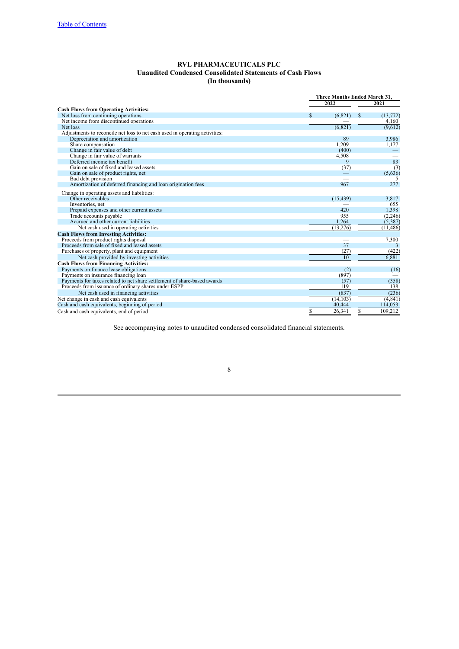## **RVL PHARMACEUTICALS PLC Unaudited Condensed Consolidated Statements of Cash Flows (In thousands)**

<span id="page-7-0"></span>

|                                                                             | Three Months Ended March 31, |      |           |
|-----------------------------------------------------------------------------|------------------------------|------|-----------|
|                                                                             | 2022                         | 2021 |           |
| <b>Cash Flows from Operating Activities:</b>                                |                              |      |           |
| Net loss from continuing operations                                         | \$<br>(6, 821)               | S    | (13, 772) |
| Net income from discontinued operations                                     |                              |      | 4,160     |
| Net loss                                                                    | (6, 821)                     |      | (9,612)   |
| Adjustments to reconcile net loss to net cash used in operating activities: |                              |      |           |
| Depreciation and amortization                                               | 89                           |      | 3,986     |
| Share compensation                                                          | 1.209                        |      | 1,177     |
| Change in fair value of debt                                                | (400)                        |      |           |
| Change in fair value of warrants                                            | 4,508                        |      |           |
| Deferred income tax benefit                                                 | 9                            |      | 83        |
| Gain on sale of fixed and leased assets                                     | (37)                         |      | (3)       |
| Gain on sale of product rights, net                                         |                              |      | (5,636)   |
| Bad debt provision                                                          |                              |      | 5         |
| Amortization of deferred financing and loan origination fees                | 967                          |      | 277       |
| Change in operating assets and liabilities:                                 |                              |      |           |
| Other receivables                                                           | (15, 439)                    |      | 3,817     |
| Inventories, net                                                            |                              |      | 655       |
| Prepaid expenses and other current assets                                   | 420                          |      | 1,398     |
| Trade accounts payable                                                      | 955                          |      | (2, 246)  |
| Accrued and other current liabilities                                       | 1,264                        |      | (5,387)   |
| Net cash used in operating activities                                       | (13, 276)                    |      | (11, 486) |
| <b>Cash Flows from Investing Activities:</b>                                |                              |      |           |
| Proceeds from product rights disposal                                       |                              |      | 7,300     |
| Proceeds from sale of fixed and leased assets                               | 37                           |      | 3         |
| Purchases of property, plant and equipment                                  | (27)                         |      | (422)     |
| Net cash provided by investing activities                                   | 10                           |      | 6,881     |
| <b>Cash Flows from Financing Activities:</b>                                |                              |      |           |
| Payments on finance lease obligations                                       | (2)                          |      | (16)      |
| Payments on insurance financing loan                                        | (897)                        |      |           |
| Payments for taxes related to net share settlement of share-based awards    | (57)                         |      | (358)     |
| Proceeds from issuance of ordinary shares under ESPP                        | 119                          |      | 138       |
| Net cash used in financing activities                                       | (837)                        |      | (236)     |
| Net change in cash and cash equivalents                                     | (14, 103)                    |      | (4, 841)  |
| Cash and cash equivalents, beginning of period                              | 40,444                       |      | 114,053   |
| Cash and cash equivalents, end of period                                    | \$<br>26,341                 | S    | 109,212   |

See accompanying notes to unaudited condensed consolidated financial statements.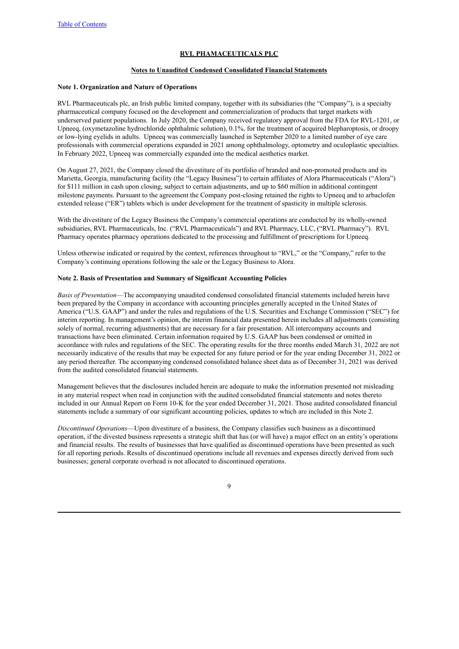#### **Notes to Unaudited Condensed Consolidated Financial Statements**

#### <span id="page-8-0"></span>**Note 1. Organization and Nature of Operations**

RVL Pharmaceuticals plc, an Irish public limited company, together with its subsidiaries (the "Company"), is a specialty pharmaceutical company focused on the development and commercialization of products that target markets with underserved patient populations. In July 2020, the Company received regulatory approval from the FDA for RVL-1201, or Upneeq, (oxymetazoline hydrochloride ophthalmic solution), 0.1%, for the treatment of acquired blepharoptosis, or droopy or low-lying eyelids in adults. Upneeq was commercially launched in September 2020 to a limited number of eye care professionals with commercial operations expanded in 2021 among ophthalmology, optometry and oculoplastic specialties. In February 2022, Upneeq was commercially expanded into the medical aesthetics market.

On August 27, 2021, the Company closed the divestiture of its portfolio of branded and non-promoted products and its Marietta, Georgia, manufacturing facility (the "Legacy Business") to certain affiliates of Alora Pharmaceuticals ("Alora") for \$111 million in cash upon closing, subject to certain adjustments, and up to \$60 million in additional contingent milestone payments. Pursuant to the agreement the Company post-closing retained the rights to Upneeq and to arbaclofen extended release ("ER") tablets which is under development for the treatment of spasticity in multiple sclerosis.

With the divestiture of the Legacy Business the Company's commercial operations are conducted by its wholly-owned subsidiaries, RVL Pharmaceuticals, Inc. ("RVL Pharmaceuticals") and RVL Pharmacy, LLC, ("RVL Pharmacy"). RVL Pharmacy operates pharmacy operations dedicated to the processing and fulfillment of prescriptions for Upneeq.

Unless otherwise indicated or required by the context, references throughout to "RVL," or the "Company," refer to the Company's continuing operations following the sale or the Legacy Business to Alora.

#### **Note 2. Basis of Presentation and Summary of Significant Accounting Policies**

*Basis of Presentation*—The accompanying unaudited condensed consolidated financial statements included herein have been prepared by the Company in accordance with accounting principles generally accepted in the United States of America ("U.S. GAAP") and under the rules and regulations of the U.S. Securities and Exchange Commission ("SEC") for interim reporting. In management's opinion, the interim financial data presented herein includes all adjustments (consisting solely of normal, recurring adjustments) that are necessary for a fair presentation. All intercompany accounts and transactions have been eliminated. Certain information required by U.S. GAAP has been condensed or omitted in accordance with rules and regulations of the SEC. The operating results for the three months ended March 31, 2022 are not necessarily indicative of the results that may be expected for any future period or for the year ending December 31, 2022 or any period thereafter. The accompanying condensed consolidated balance sheet data as of December 31, 2021 was derived from the audited consolidated financial statements.

Management believes that the disclosures included herein are adequate to make the information presented not misleading in any material respect when read in conjunction with the audited consolidated financial statements and notes thereto included in our Annual Report on Form 10-K for the year ended December 31, 2021. Those audited consolidated financial statements include a summary of our significant accounting policies, updates to which are included in this Note 2.

*Discontinued Operations*—Upon divestiture of a business, the Company classifies such business as a discontinued operation, if the divested business represents a strategic shift that has (or will have) a major effect on an entity's operations and financial results. The results of businesses that have qualified as discontinued operations have been presented as such for all reporting periods. Results of discontinued operations include all revenues and expenses directly derived from such businesses; general corporate overhead is not allocated to discontinued operations.

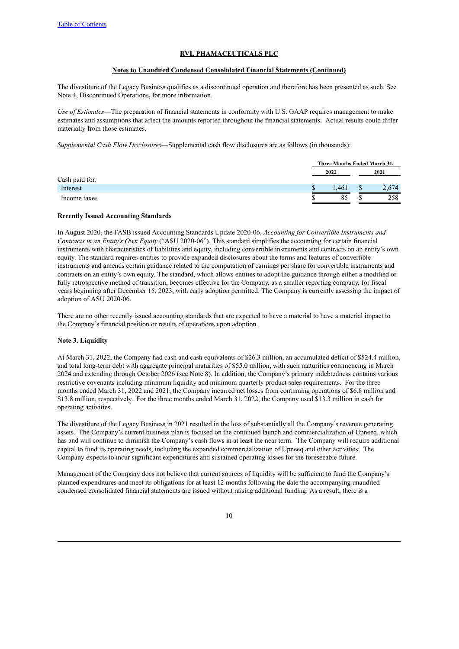#### **Notes to Unaudited Condensed Consolidated Financial Statements (Continued)**

The divestiture of the Legacy Business qualifies as a discontinued operation and therefore has been presented as such. See Note 4, Discontinued Operations, for more information.

*Use of Estimates*—The preparation of financial statements in conformity with U.S. GAAP requires management to make estimates and assumptions that affect the amounts reported throughout the financial statements. Actual results could differ materially from those estimates.

*Supplemental Cash Flow Disclosures*—Supplemental cash flow disclosures are as follows (in thousands):

|                |      | Three Months Ended March 31, |  |       |  |
|----------------|------|------------------------------|--|-------|--|
|                | 2022 |                              |  | 2021  |  |
| Cash paid for: |      |                              |  |       |  |
| Interest       |      | .461                         |  | 2,674 |  |
| Income taxes   |      | 85                           |  | 258   |  |

## **Recently Issued Accounting Standards**

In August 2020, the FASB issued Accounting Standards Update 2020-06, *Accounting for Convertible Instruments and Contracts in an Entity's Own Equity* ("ASU 2020-06"). This standard simplifies the accounting for certain financial instruments with characteristics of liabilities and equity, including convertible instruments and contracts on an entity's own equity. The standard requires entities to provide expanded disclosures about the terms and features of convertible instruments and amends certain guidance related to the computation of earnings per share for convertible instruments and contracts on an entity's own equity. The standard, which allows entities to adopt the guidance through either a modified or fully retrospective method of transition, becomes effective for the Company, as a smaller reporting company, for fiscal years beginning after December 15, 2023, with early adoption permitted. The Company is currently assessing the impact of adoption of ASU 2020-06.

There are no other recently issued accounting standards that are expected to have a material to have a material impact to the Company's financial position or results of operations upon adoption.

## **Note 3. Liquidity**

At March 31, 2022, the Company had cash and cash equivalents of \$26.3 million, an accumulated deficit of \$524.4 million, and total long-term debt with aggregate principal maturities of \$55.0 million, with such maturities commencing in March 2024 and extending through October 2026 (see Note 8). In addition, the Company's primary indebtedness contains various restrictive covenants including minimum liquidity and minimum quarterly product sales requirements. For the three months ended March 31, 2022 and 2021, the Company incurred net losses from continuing operations of \$6.8 million and \$13.8 million, respectively. For the three months ended March 31, 2022, the Company used \$13.3 million in cash for operating activities.

The divestiture of the Legacy Business in 2021 resulted in the loss of substantially all the Company's revenue generating assets. The Company's current business plan is focused on the continued launch and commercialization of Upneeq, which has and will continue to diminish the Company's cash flows in at least the near term. The Company will require additional capital to fund its operating needs, including the expanded commercialization of Upneeq and other activities. The Company expects to incur significant expenditures and sustained operating losses for the foreseeable future.

Management of the Company does not believe that current sources of liquidity will be sufficient to fund the Company's planned expenditures and meet its obligations for at least 12 months following the date the accompanying unaudited condensed consolidated financial statements are issued without raising additional funding. As a result, there is a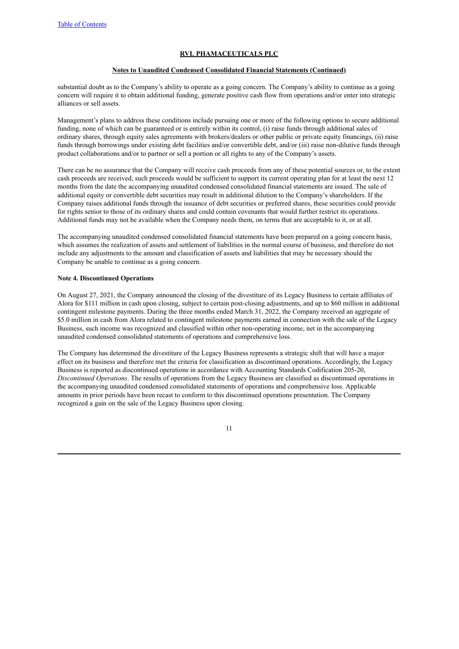#### **Notes to Unaudited Condensed Consolidated Financial Statements (Continued)**

substantial doubt as to the Company's ability to operate as a going concern. The Company's ability to continue as a going concern will require it to obtain additional funding, generate positive cash flow from operations and/or enter into strategic alliances or sell assets.

Management's plans to address these conditions include pursuing one or more of the following options to secure additional funding, none of which can be guaranteed or is entirely within its control, (i) raise funds through additional sales of ordinary shares, through equity sales agreements with brokers/dealers or other public or private equity financings, (ii) raise funds through borrowings under existing debt facilities and/or convertible debt, and/or (iii) raise non-dilutive funds through product collaborations and/or to partner or sell a portion or all rights to any of the Company's assets.

There can be no assurance that the Company will receive cash proceeds from any of these potential sources or, to the extent cash proceeds are received, such proceeds would be sufficient to support its current operating plan for at least the next 12 months from the date the accompanying unaudited condensed consolidated financial statements are issued. The sale of additional equity or convertible debt securities may result in additional dilution to the Company's shareholders. If the Company raises additional funds through the issuance of debt securities or preferred shares, these securities could provide for rights senior to those of its ordinary shares and could contain covenants that would further restrict its operations. Additional funds may not be available when the Company needs them, on terms that are acceptable to it, or at all.

The accompanying unaudited condensed consolidated financial statements have been prepared on a going concern basis, which assumes the realization of assets and settlement of liabilities in the normal course of business, and therefore do not include any adjustments to the amount and classification of assets and liabilities that may be necessary should the Company be unable to continue as a going concern.

#### **Note 4. Discontinued Operations**

On August 27, 2021, the Company announced the closing of the divestiture of its Legacy Business to certain affiliates of Alora for \$111 million in cash upon closing, subject to certain post-closing adjustments, and up to \$60 million in additional contingent milestone payments. During the three months ended March 31, 2022, the Company received an aggregate of \$5.0 million in cash from Alora related to contingent milestone payments earned in connection with the sale of the Legacy Business, such income was recognized and classified within other non-operating income, net in the accompanying unaudited condensed consolidated statements of operations and comprehensive loss.

The Company has determined the divestiture of the Legacy Business represents a strategic shift that will have a major effect on its business and therefore met the criteria for classification as discontinued operations. Accordingly, the Legacy Business is reported as discontinued operations in accordance with Accounting Standards Codification 205-20, *Discontinued Operations*. The results of operations from the Legacy Business are classified as discontinued operations in the accompanying unaudited condensed consolidated statements of operations and comprehensive loss. Applicable amounts in prior periods have been recast to conform to this discontinued operations presentation. The Company recognized a gain on the sale of the Legacy Business upon closing.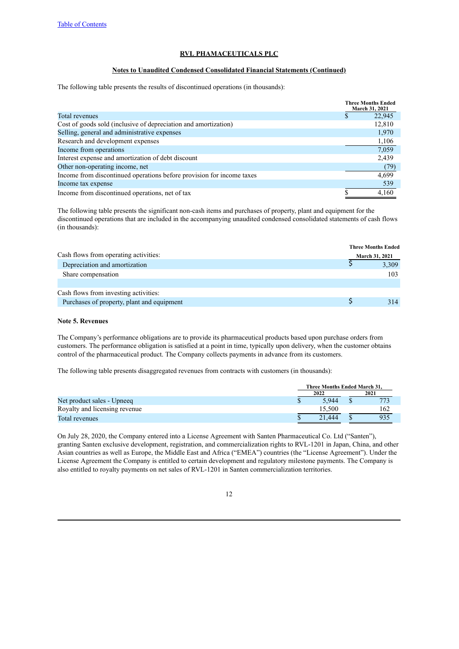## **Notes to Unaudited Condensed Consolidated Financial Statements (Continued)**

The following table presents the results of discontinued operations (in thousands):

|                                                                       | <b>Three Months Ended</b><br><b>March 31, 2021</b> |
|-----------------------------------------------------------------------|----------------------------------------------------|
| Total revenues                                                        | 22,945                                             |
| Cost of goods sold (inclusive of depreciation and amortization)       | 12,810                                             |
| Selling, general and administrative expenses                          | 1,970                                              |
| Research and development expenses                                     | 1,106                                              |
| Income from operations                                                | 7,059                                              |
| Interest expense and amortization of debt discount                    | 2,439                                              |
| Other non-operating income, net                                       | (79)                                               |
| Income from discontinued operations before provision for income taxes | 4,699                                              |
| Income tax expense                                                    | 539                                                |
| Income from discontinued operations, net of tax                       | 4,160                                              |

The following table presents the significant non-cash items and purchases of property, plant and equipment for the discontinued operations that are included in the accompanying unaudited condensed consolidated statements of cash flows (in thousands):

|                                            | <b>Three Months Ended</b> |
|--------------------------------------------|---------------------------|
| Cash flows from operating activities:      | <b>March 31, 2021</b>     |
| Depreciation and amortization              | 3,309                     |
| Share compensation                         | 103                       |
|                                            |                           |
| Cash flows from investing activities:      |                           |
| Purchases of property, plant and equipment | 314                       |

#### **Note 5. Revenues**

The Company's performance obligations are to provide its pharmaceutical products based upon purchase orders from customers. The performance obligation is satisfied at a point in time, typically upon delivery, when the customer obtains control of the pharmaceutical product. The Company collects payments in advance from its customers.

The following table presents disaggregated revenues from contracts with customers (in thousands):

|                               | <b>Three Months Ended March 31.</b> |      |     |  |  |  |
|-------------------------------|-------------------------------------|------|-----|--|--|--|
|                               | 2022                                | 2021 |     |  |  |  |
| Net product sales - Upneeq    | 5.944                               |      |     |  |  |  |
| Royalty and licensing revenue | 15.500                              |      | 162 |  |  |  |
| Total revenues                | 21.444                              |      | 935 |  |  |  |

On July 28, 2020, the Company entered into a License Agreement with Santen Pharmaceutical Co. Ltd ("Santen"), granting Santen exclusive development, registration, and commercialization rights to RVL-1201 in Japan, China, and other Asian countries as well as Europe, the Middle East and Africa ("EMEA") countries (the "License Agreement"). Under the License Agreement the Company is entitled to certain development and regulatory milestone payments. The Company is also entitled to royalty payments on net sales of RVL-1201 in Santen commercialization territories.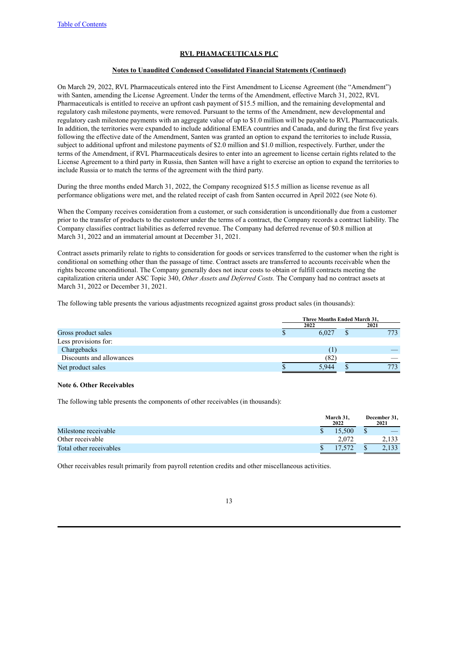#### **Notes to Unaudited Condensed Consolidated Financial Statements (Continued)**

On March 29, 2022, RVL Pharmaceuticals entered into the First Amendment to License Agreement (the "Amendment") with Santen, amending the License Agreement. Under the terms of the Amendment, effective March 31, 2022, RVL Pharmaceuticals is entitled to receive an upfront cash payment of \$15.5 million, and the remaining developmental and regulatory cash milestone payments, were removed. Pursuant to the terms of the Amendment, new developmental and regulatory cash milestone payments with an aggregate value of up to \$1.0 million will be payable to RVL Pharmaceuticals. In addition, the territories were expanded to include additional EMEA countries and Canada, and during the first five years following the effective date of the Amendment, Santen was granted an option to expand the territories to include Russia, subject to additional upfront and milestone payments of \$2.0 million and \$1.0 million, respectively. Further, under the terms of the Amendment, if RVL Pharmaceuticals desires to enter into an agreement to license certain rights related to the License Agreement to a third party in Russia, then Santen will have a right to exercise an option to expand the territories to include Russia or to match the terms of the agreement with the third party.

During the three months ended March 31, 2022, the Company recognized \$15.5 million as license revenue as all performance obligations were met, and the related receipt of cash from Santen occurred in April 2022 (see Note 6).

When the Company receives consideration from a customer, or such consideration is unconditionally due from a customer prior to the transfer of products to the customer under the terms of a contract, the Company records a contract liability. The Company classifies contract liabilities as deferred revenue. The Company had deferred revenue of \$0.8 million at March 31, 2022 and an immaterial amount at December 31, 2021.

Contract assets primarily relate to rights to consideration for goods or services transferred to the customer when the right is conditional on something other than the passage of time. Contract assets are transferred to accounts receivable when the rights become unconditional. The Company generally does not incur costs to obtain or fulfill contracts meeting the capitalization criteria under ASC Topic 340, *Other Assets and Deferred Costs.* The Company had no contract assets at March 31, 2022 or December 31, 2021.

The following table presents the various adjustments recognized against gross product sales (in thousands):

|                          | Three Months Ended March 31, |       |  |      |  |  |
|--------------------------|------------------------------|-------|--|------|--|--|
|                          |                              | 2022  |  | 2021 |  |  |
| Gross product sales      |                              | 6,027 |  | 773  |  |  |
| Less provisions for:     |                              |       |  |      |  |  |
| Chargebacks              |                              |       |  |      |  |  |
| Discounts and allowances |                              | (82)  |  |      |  |  |
| Net product sales        |                              | 5.944 |  | 773  |  |  |

#### **Note 6. Other Receivables**

The following table presents the components of other receivables (in thousands):

|                         |  | March 31.<br>2022 |  | December 31,<br>2021 |
|-------------------------|--|-------------------|--|----------------------|
| Milestone receivable    |  | 15.500            |  |                      |
| Other receivable        |  | 2.072             |  |                      |
| Total other receivables |  |                   |  |                      |

Other receivables result primarily from payroll retention credits and other miscellaneous activities.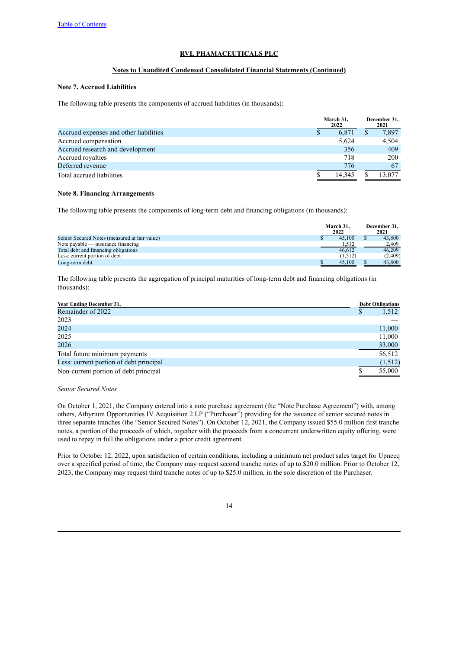## **Notes to Unaudited Condensed Consolidated Financial Statements (Continued)**

## **Note 7. Accrued Liabilities**

The following table presents the components of accrued liabilities (in thousands):

|                                        | March 31,<br>2022 | December 31,<br>2021 |        |  |
|----------------------------------------|-------------------|----------------------|--------|--|
| Accrued expenses and other liabilities | 6.871             |                      | 7,897  |  |
| Accrued compensation                   | 5.624             |                      | 4.504  |  |
| Accrued research and development       | 356               |                      | 409    |  |
| Accrued royalties                      | 718               |                      | 200    |  |
| Deferred revenue                       | 776               |                      | 67     |  |
| Total accrued liabilities              | 14.345            |                      | 13.077 |  |

#### **Note 8. Financing Arrangements**

The following table presents the components of long-term debt and financing obligations (in thousands):

|                                               | March 31.<br>2022 | December 31.<br>2021 |
|-----------------------------------------------|-------------------|----------------------|
| Senior Secured Notes (measured at fair value) | 45.100            | 43.800               |
| Note payable $-$ insurance financing          | 1.512             | 2,409                |
| Total debt and financing obligations          | 46.612            | 46.209               |
| Less: current portion of debt                 | (1,512)           | (2,409)              |
| Long-term debt                                | 45.100            | 43,800               |

The following table presents the aggregation of principal maturities of long-term debt and financing obligations (in thousands):

| <b>Year Ending December 31,</b>         | <b>Debt Obligations</b> |
|-----------------------------------------|-------------------------|
| Remainder of 2022                       | 1,512                   |
| 2023                                    |                         |
| 2024                                    | 11,000                  |
| 2025                                    | 11,000                  |
| 2026                                    | 33,000                  |
| Total future minimum payments           | 56,512                  |
| Less: current portion of debt principal | (1,512)                 |
| Non-current portion of debt principal   | 55,000                  |

#### *Senior Secured Notes*

On October 1, 2021, the Company entered into a note purchase agreement (the "Note Purchase Agreement") with, among others, Athyrium Opportunities IV Acquisition 2 LP ("Purchaser") providing for the issuance of senior secured notes in three separate tranches (the "Senior Secured Notes"). On October 12, 2021, the Company issued \$55.0 million first tranche notes, a portion of the proceeds of which, together with the proceeds from a concurrent underwritten equity offering, were used to repay in full the obligations under a prior credit agreement.

Prior to October 12, 2022, upon satisfaction of certain conditions, including a minimum net product sales target for Upneeq over a specified period of time, the Company may request second tranche notes of up to \$20.0 million. Prior to October 12, 2023, the Company may request third tranche notes of up to \$25.0 million, in the sole discretion of the Purchaser.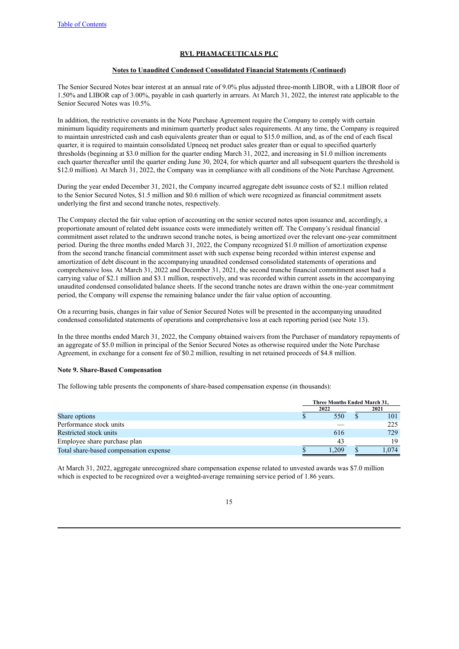#### **Notes to Unaudited Condensed Consolidated Financial Statements (Continued)**

The Senior Secured Notes bear interest at an annual rate of 9.0% plus adjusted three-month LIBOR, with a LIBOR floor of 1.50% and LIBOR cap of 3.00%, payable in cash quarterly in arrears. At March 31, 2022, the interest rate applicable to the Senior Secured Notes was 10.5%.

In addition, the restrictive covenants in the Note Purchase Agreement require the Company to comply with certain minimum liquidity requirements and minimum quarterly product sales requirements. At any time, the Company is required to maintain unrestricted cash and cash equivalents greater than or equal to \$15.0 million, and, as of the end of each fiscal quarter, it is required to maintain consolidated Upneeq net product sales greater than or equal to specified quarterly thresholds (beginning at \$3.0 million for the quarter ending March 31, 2022, and increasing in \$1.0 million increments each quarter thereafter until the quarter ending June 30, 2024, for which quarter and all subsequent quarters the threshold is \$12.0 million). At March 31, 2022, the Company was in compliance with all conditions of the Note Purchase Agreement.

During the year ended December 31, 2021, the Company incurred aggregate debt issuance costs of \$2.1 million related to the Senior Secured Notes, \$1.5 million and \$0.6 million of which were recognized as financial commitment assets underlying the first and second tranche notes, respectively.

The Company elected the fair value option of accounting on the senior secured notes upon issuance and, accordingly, a proportionate amount of related debt issuance costs were immediately written off. The Company's residual financial commitment asset related to the undrawn second tranche notes, is being amortized over the relevant one-year commitment period. During the three months ended March 31, 2022, the Company recognized \$1.0 million of amortization expense from the second tranche financial commitment asset with such expense being recorded within interest expense and amortization of debt discount in the accompanying unaudited condensed consolidated statements of operations and comprehensive loss. At March 31, 2022 and December 31, 2021, the second tranche financial commitment asset had a carrying value of \$2.1 million and \$3.1 million, respectively, and was recorded within current assets in the accompanying unaudited condensed consolidated balance sheets. If the second tranche notes are drawn within the one-year commitment period, the Company will expense the remaining balance under the fair value option of accounting.

On a recurring basis, changes in fair value of Senior Secured Notes will be presented in the accompanying unaudited condensed consolidated statements of operations and comprehensive loss at each reporting period (see Note 13).

In the three months ended March 31, 2022, the Company obtained waivers from the Purchaser of mandatory repayments of an aggregate of \$5.0 million in principal of the Senior Secured Notes as otherwise required under the Note Purchase Agreement, in exchange for a consent fee of \$0.2 million, resulting in net retained proceeds of \$4.8 million.

#### **Note 9. Share-Based Compensation**

The following table presents the components of share-based compensation expense (in thousands):

|                                        | Three Months Ended March 31. |  |      |  |  |
|----------------------------------------|------------------------------|--|------|--|--|
|                                        | 2022                         |  | 2021 |  |  |
| Share options                          | 550                          |  | 101  |  |  |
| Performance stock units                |                              |  | 225  |  |  |
| Restricted stock units                 | 616                          |  | 729  |  |  |
| Employee share purchase plan           | 43                           |  | 19   |  |  |
| Total share-based compensation expense | 209                          |  | .074 |  |  |

At March 31, 2022, aggregate unrecognized share compensation expense related to unvested awards was \$7.0 million which is expected to be recognized over a weighted-average remaining service period of 1.86 years.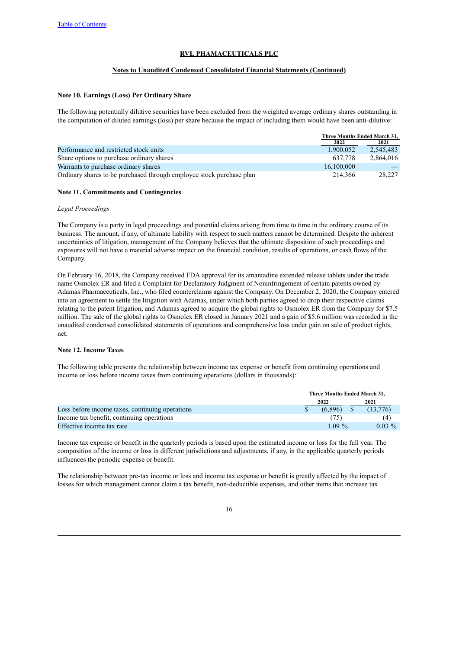## **Notes to Unaudited Condensed Consolidated Financial Statements (Continued)**

## **Note 10. Earnings (Loss) Per Ordinary Share**

The following potentially dilutive securities have been excluded from the weighted average ordinary shares outstanding in the computation of diluted earnings (loss) per share because the impact of including them would have been anti-dilutive:

|                                                                      | Three Months Ended March 31, |           |
|----------------------------------------------------------------------|------------------------------|-----------|
|                                                                      | 2022                         | 2021      |
| Performance and restricted stock units                               | 1.900.052                    | 2.545.483 |
| Share options to purchase ordinary shares                            | 637.778                      | 2.864.016 |
| Warrants to purchase ordinary shares                                 | 16,100,000                   |           |
| Ordinary shares to be purchased through employee stock purchase plan | 214.366                      | 28.227    |

#### **Note 11. Commitments and Contingencies**

#### *Legal Proceedings*

The Company is a party in legal proceedings and potential claims arising from time to time in the ordinary course of its business. The amount, if any, of ultimate liability with respect to such matters cannot be determined. Despite the inherent uncertainties of litigation, management of the Company believes that the ultimate disposition of such proceedings and exposures will not have a material adverse impact on the financial condition, results of operations, or cash flows of the Company.

On February 16, 2018, the Company received FDA approval for its amantadine extended release tablets under the trade name Osmolex ER and filed a Complaint for Declaratory Judgment of Noninfringement of certain patents owned by Adamas Pharmaceuticals, Inc., who filed counterclaims against the Company. On December 2, 2020, the Company entered into an agreement to settle the litigation with Adamas, under which both parties agreed to drop their respective claims relating to the patent litigation, and Adamas agreed to acquire the global rights to Osmolex ER from the Company for \$7.5 million. The sale of the global rights to Osmolex ER closed in January 2021 and a gain of \$5.6 million was recorded in the unaudited condensed consolidated statements of operations and comprehensive loss under gain on sale of product rights, net.

## **Note 12. Income Taxes**

The following table presents the relationship between income tax expense or benefit from continuing operations and income or loss before income taxes from continuing operations (dollars in thousands):

|                                                 |      | Three Months Ended March 31, |  |           |  |  |  |
|-------------------------------------------------|------|------------------------------|--|-----------|--|--|--|
|                                                 | 2022 |                              |  | 2021      |  |  |  |
| Loss before income taxes, continuing operations |      | (6.896)                      |  | (13.776)  |  |  |  |
| Income tax benefit, continuing operations       |      | (75)                         |  | (4)       |  |  |  |
| Effective income tax rate                       |      | $1.09\%$                     |  | $0.03 \%$ |  |  |  |

Income tax expense or benefit in the quarterly periods is based upon the estimated income or loss for the full year. The composition of the income or loss in different jurisdictions and adjustments, if any, in the applicable quarterly periods influences the periodic expense or benefit.

The relationship between pre-tax income or loss and income tax expense or benefit is greatly affected by the impact of losses for which management cannot claim a tax benefit, non-deductible expenses, and other items that increase tax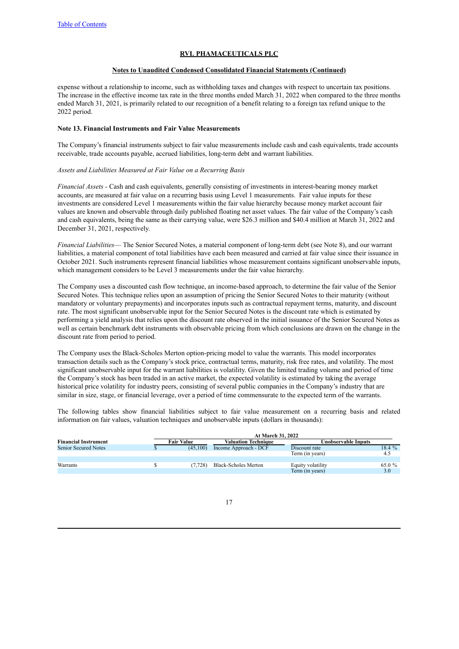#### **Notes to Unaudited Condensed Consolidated Financial Statements (Continued)**

expense without a relationship to income, such as withholding taxes and changes with respect to uncertain tax positions. The increase in the effective income tax rate in the three months ended March 31, 2022 when compared to the three months ended March 31, 2021, is primarily related to our recognition of a benefit relating to a foreign tax refund unique to the 2022 period.

## **Note 13. Financial Instruments and Fair Value Measurements**

The Company's financial instruments subject to fair value measurements include cash and cash equivalents, trade accounts receivable, trade accounts payable, accrued liabilities, long-term debt and warrant liabilities.

#### *Assets and Liabilities Measured at Fair Value on a Recurring Basis*

*Financial Assets -* Cash and cash equivalents, generally consisting of investments in interest-bearing money market accounts, are measured at fair value on a recurring basis using Level 1 measurements. Fair value inputs for these investments are considered Level 1 measurements within the fair value hierarchy because money market account fair values are known and observable through daily published floating net asset values. The fair value of the Company's cash and cash equivalents, being the same as their carrying value, were \$26.3 million and \$40.4 million at March 31, 2022 and December 31, 2021, respectively.

*Financial Liabilities*— The Senior Secured Notes, a material component of long-term debt (see Note 8), and our warrant liabilities, a material component of total liabilities have each been measured and carried at fair value since their issuance in October 2021. Such instruments represent financial liabilities whose measurement contains significant unobservable inputs, which management considers to be Level 3 measurements under the fair value hierarchy.

The Company uses a discounted cash flow technique, an income-based approach, to determine the fair value of the Senior Secured Notes. This technique relies upon an assumption of pricing the Senior Secured Notes to their maturity (without mandatory or voluntary prepayments) and incorporates inputs such as contractual repayment terms, maturity, and discount rate. The most significant unobservable input for the Senior Secured Notes is the discount rate which is estimated by performing a yield analysis that relies upon the discount rate observed in the initial issuance of the Senior Secured Notes as well as certain benchmark debt instruments with observable pricing from which conclusions are drawn on the change in the discount rate from period to period.

The Company uses the Black-Scholes Merton option-pricing model to value the warrants. This model incorporates transaction details such as the Company's stock price, contractual terms, maturity, risk free rates, and volatility. The most significant unobservable input for the warrant liabilities is volatility. Given the limited trading volume and period of time the Company's stock has been traded in an active market, the expected volatility is estimated by taking the average historical price volatility for industry peers, consisting of several public companies in the Company's industry that are similar in size, stage, or financial leverage, over a period of time commensurate to the expected term of the warrants.

The following tables show financial liabilities subject to fair value measurement on a recurring basis and related information on fair values, valuation techniques and unobservable inputs (dollars in thousands):

|                             |            | At March 31, 2022 |                             |                     |           |  |  |
|-----------------------------|------------|-------------------|-----------------------------|---------------------|-----------|--|--|
| <b>Financial Instrument</b> | Fair Value |                   | Valuation Technique         | Unobservable Inputs |           |  |  |
| <b>Senior Secured Notes</b> |            | (45.100)          | Income Approach - DCF       | Discount rate       | $18.4 \%$ |  |  |
|                             |            |                   |                             | Term (in years)     | 4.5       |  |  |
|                             |            |                   |                             |                     |           |  |  |
| Warrants                    |            | (7.728)           | <b>Black-Scholes Merton</b> | Equity volatility   | 65.0 %    |  |  |
|                             |            |                   |                             | Term (in years)     | 3.0       |  |  |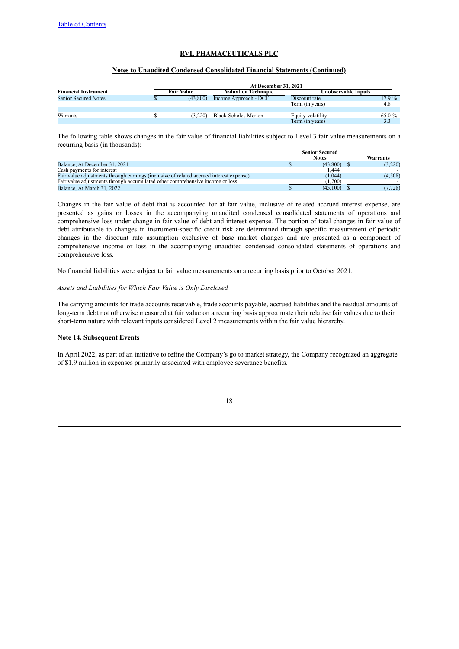## **Notes to Unaudited Condensed Consolidated Financial Statements (Continued)**

|                             |                   |          |                             | <b>At December 31, 2021</b> |        |
|-----------------------------|-------------------|----------|-----------------------------|-----------------------------|--------|
| <b>Financial Instrument</b> | <b>Fair Value</b> |          | Valuation Technique         | Unobservable Inputs         |        |
| Senior Secured Notes        |                   | (43,800) | Income Approach - DCF       | Discount rate               | 17.9 % |
|                             |                   |          |                             | Term (in years)             | 4.8    |
|                             |                   |          |                             |                             |        |
| Warrants                    |                   | (3.220)  | <b>Black-Scholes Merton</b> | Equity volatility           | 65.0 % |
|                             |                   |          |                             | Term (in years)             |        |

The following table shows changes in the fair value of financial liabilities subject to Level 3 fair value measurements on a recurring basis (in thousands):

|                                                                                         | <b>Senior Secured</b> |          |
|-----------------------------------------------------------------------------------------|-----------------------|----------|
|                                                                                         | <b>Notes</b>          | Warrants |
| Balance, At December 31, 2021                                                           | (43,800)              | (3,220)  |
| Cash payments for interest                                                              | l .444                |          |
| Fair value adjustments through earnings (inclusive of related accrued interest expense) | (1,044)               | (4,508)  |
| Fair value adjustments through accumulated other comprehensive income or loss           | (1.700)               |          |
| Balance, At March 31, 2022                                                              | (45.100)              | 7.728    |

Changes in the fair value of debt that is accounted for at fair value, inclusive of related accrued interest expense, are presented as gains or losses in the accompanying unaudited condensed consolidated statements of operations and comprehensive loss under change in fair value of debt and interest expense. The portion of total changes in fair value of debt attributable to changes in instrument-specific credit risk are determined through specific measurement of periodic changes in the discount rate assumption exclusive of base market changes and are presented as a component of comprehensive income or loss in the accompanying unaudited condensed consolidated statements of operations and comprehensive loss.

No financial liabilities were subject to fair value measurements on a recurring basis prior to October 2021.

#### *Assets and Liabilities for Which Fair Value is Only Disclosed*

The carrying amounts for trade accounts receivable, trade accounts payable, accrued liabilities and the residual amounts of long-term debt not otherwise measured at fair value on a recurring basis approximate their relative fair values due to their short-term nature with relevant inputs considered Level 2 measurements within the fair value hierarchy.

#### **Note 14. Subsequent Events**

In April 2022, as part of an initiative to refine the Company's go to market strategy, the Company recognized an aggregate of \$1.9 million in expenses primarily associated with employee severance benefits.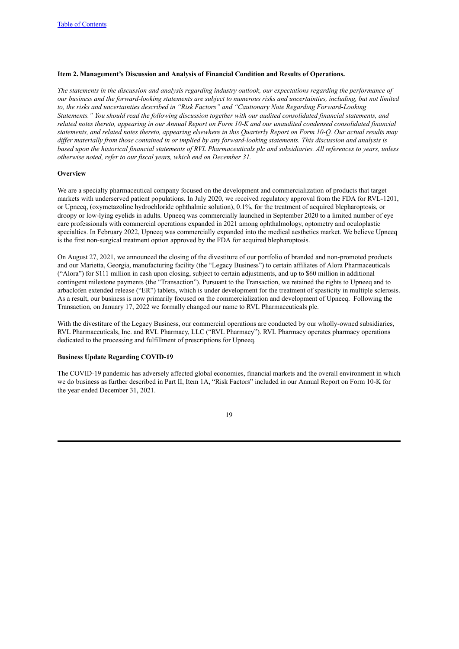## <span id="page-18-0"></span>**Item 2. Management's Discussion and Analysis of Financial Condition and Results of Operations.**

The statements in the discussion and analysis regarding industry outlook, our expectations regarding the performance of our business and the forward-looking statements are subject to numerous risks and uncertainties, including, but not limited *to, the risks and uncertainties described in "Risk Factors" and "Cautionary Note Regarding Forward-Looking Statements." You should read the following discussion together with our audited consolidated financial statements, and* related notes thereto, appearing in our Annual Report on Form 10-K and our unaudited condensed consolidated financial statements, and related notes thereto, appearing elsewhere in this Quarterly Report on Form 10-O. Our actual results may differ materially from those contained in or implied by any forward-looking statements. This discussion and analysis is based upon the historical financial statements of RVL Pharmaceuticals plc and subsidiaries. All references to years, unless *otherwise noted, refer to our fiscal years, which end on December 31.*

### **Overview**

We are a specialty pharmaceutical company focused on the development and commercialization of products that target markets with underserved patient populations. In July 2020, we received regulatory approval from the FDA for RVL-1201, or Upneeq, (oxymetazoline hydrochloride ophthalmic solution), 0.1%, for the treatment of acquired blepharoptosis, or droopy or low-lying eyelids in adults. Upneeq was commercially launched in September 2020 to a limited number of eye care professionals with commercial operations expanded in 2021 among ophthalmology, optometry and oculoplastic specialties. In February 2022, Upneeq was commercially expanded into the medical aesthetics market. We believe Upneeq is the first non-surgical treatment option approved by the FDA for acquired blepharoptosis.

On August 27, 2021, we announced the closing of the divestiture of our portfolio of branded and non-promoted products and our Marietta, Georgia, manufacturing facility (the "Legacy Business") to certain affiliates of Alora Pharmaceuticals ("Alora") for \$111 million in cash upon closing, subject to certain adjustments, and up to \$60 million in additional contingent milestone payments (the "Transaction"). Pursuant to the Transaction, we retained the rights to Upneeq and to arbaclofen extended release ("ER") tablets, which is under development for the treatment of spasticity in multiple sclerosis. As a result, our business is now primarily focused on the commercialization and development of Upneeq. Following the Transaction, on January 17, 2022 we formally changed our name to RVL Pharmaceuticals plc.

With the divestiture of the Legacy Business, our commercial operations are conducted by our wholly-owned subsidiaries, RVL Pharmaceuticals, Inc. and RVL Pharmacy, LLC ("RVL Pharmacy"). RVL Pharmacy operates pharmacy operations dedicated to the processing and fulfillment of prescriptions for Upneeq.

### **Business Update Regarding COVID-19**

The COVID-19 pandemic has adversely affected global economies, financial markets and the overall environment in which we do business as further described in Part II, Item 1A, "Risk Factors" included in our Annual Report on Form 10-K for the year ended December 31, 2021.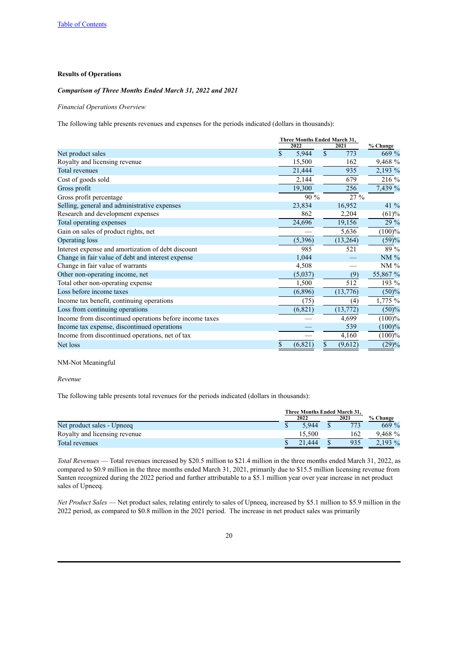## **Results of Operations**

## *Comparison of Three Months Ended March 31, 2022 and 2021*

*Financial Operations Overview*

The following table presents revenues and expenses for the periods indicated (dollars in thousands):

|                                                         | Three Months Ended March 31, |               |           |          |
|---------------------------------------------------------|------------------------------|---------------|-----------|----------|
|                                                         | 2022                         |               | 2021      | % Change |
| Net product sales                                       | \$<br>5,944                  | $\mathcal{S}$ | 773       | 669 %    |
| Royalty and licensing revenue                           | 15,500                       |               | 162       | 9,468%   |
| <b>Total revenues</b>                                   | 21,444                       |               | 935       | 2,193 %  |
| Cost of goods sold                                      | 2,144                        |               | 679       | 216 %    |
| Gross profit                                            | 19,300                       |               | 256       | 7,439 %  |
| Gross profit percentage                                 | 90 %                         |               | 27%       |          |
| Selling, general and administrative expenses            | 23,834                       |               | 16,952    | 41 %     |
| Research and development expenses                       | 862                          |               | 2,204     | (61)%    |
| Total operating expenses                                | 24,696                       |               | 19,156    | 29 %     |
| Gain on sales of product rights, net                    |                              |               | 5,636     | (100)%   |
| Operating loss                                          | (5,396)                      |               | (13,264)  | (59)%    |
| Interest expense and amortization of debt discount      | 985                          |               | 521       | 89 %     |
| Change in fair value of debt and interest expense       | 1,044                        |               |           | NM%      |
| Change in fair value of warrants                        | 4,508                        |               |           | NM%      |
| Other non-operating income, net                         | (5,037)                      |               | (9)       | 55,867 % |
| Total other non-operating expense                       | 1,500                        |               | 512       | 193 %    |
| Loss before income taxes                                | (6,896)                      |               | (13,776)  | (50)%    |
| Income tax benefit, continuing operations               | (75)                         |               | (4)       | 1,775 %  |
| Loss from continuing operations                         | (6, 821)                     |               | (13, 772) | (50)%    |
| Income from discontinued operations before income taxes |                              |               | 4,699     | (100)%   |
| Income tax expense, discontinued operations             |                              |               | 539       | (100)%   |
| Income from discontinued operations, net of tax         |                              |               | 4,160     | (100)%   |
| Net loss                                                | \$<br>(6, 821)               | \$            | (9,612)   | (29)%    |

NM-Not Meaningful

#### *Revenue*

The following table presents total revenues for the periods indicated (dollars in thousands):

|                               | <b>Three Months Ended March 31.</b> |  |      |           |  |
|-------------------------------|-------------------------------------|--|------|-----------|--|
|                               | 2022                                |  | 2021 | % Change  |  |
| Net product sales - Upneeq    | 5.944                               |  |      | 669%      |  |
| Royalty and licensing revenue | 15.500                              |  | 162  | $9.468\%$ |  |
| Total revenues                | 21.444                              |  | 935  | $2,193\%$ |  |

*Total Revenues* — Total revenues increased by \$20.5 million to \$21.4 million in the three months ended March 31, 2022, as compared to \$0.9 million in the three months ended March 31, 2021, primarily due to \$15.5 million licensing revenue from Santen recognized during the 2022 period and further attributable to a \$5.1 million year over year increase in net product sales of Upneeq.

*Net Product Sales* — Net product sales, relating entirely to sales of Upneeq, increased by \$5.1 million to \$5.9 million in the 2022 period, as compared to \$0.8 million in the 2021 period. The increase in net product sales was primarily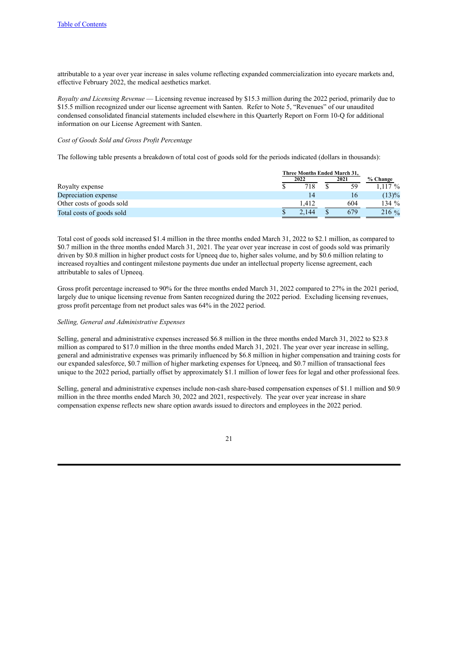attributable to a year over year increase in sales volume reflecting expanded commercialization into eyecare markets and, effective February 2022, the medical aesthetics market.

*Royalty and Licensing Revenue* — Licensing revenue increased by \$15.3 million during the 2022 period, primarily due to \$15.5 million recognized under our license agreement with Santen. Refer to Note 5, "Revenues" of our unaudited condensed consolidated financial statements included elsewhere in this Quarterly Report on Form 10-Q for additional information on our License Agreement with Santen.

## *Cost of Goods Sold and Gross Profit Percentage*

The following table presents a breakdown of total cost of goods sold for the periods indicated (dollars in thousands):

|                           | Three Months Ended March 31. |       |  |     |           |
|---------------------------|------------------------------|-------|--|-----|-----------|
|                           | 2022<br>2021                 |       |  |     | % Change  |
| Royalty expense           |                              | 718   |  | 59  | $1.117\%$ |
| Depreciation expense      |                              | 14    |  | 16  | $(13)\%$  |
| Other costs of goods sold |                              | 1.412 |  | 604 | 134 %     |
| Total costs of goods sold |                              | 2.144 |  | 679 | $216\%$   |

Total cost of goods sold increased \$1.4 million in the three months ended March 31, 2022 to \$2.1 million, as compared to \$0.7 million in the three months ended March 31, 2021. The year over year increase in cost of goods sold was primarily driven by \$0.8 million in higher product costs for Upneeq due to, higher sales volume, and by \$0.6 million relating to increased royalties and contingent milestone payments due under an intellectual property license agreement, each attributable to sales of Upneeq.

Gross profit percentage increased to 90% for the three months ended March 31, 2022 compared to 27% in the 2021 period, largely due to unique licensing revenue from Santen recognized during the 2022 period. Excluding licensing revenues, gross profit percentage from net product sales was 64% in the 2022 period.

### *Selling, General and Administrative Expenses*

Selling, general and administrative expenses increased \$6.8 million in the three months ended March 31, 2022 to \$23.8 million as compared to \$17.0 million in the three months ended March 31, 2021. The year over year increase in selling, general and administrative expenses was primarily influenced by \$6.8 million in higher compensation and training costs for our expanded salesforce, \$0.7 million of higher marketing expenses for Upneeq, and \$0.7 million of transactional fees unique to the 2022 period, partially offset by approximately \$1.1 million of lower fees for legal and other professional fees.

Selling, general and administrative expenses include non-cash share-based compensation expenses of \$1.1 million and \$0.9 million in the three months ended March 30, 2022 and 2021, respectively. The year over year increase in share compensation expense reflects new share option awards issued to directors and employees in the 2022 period.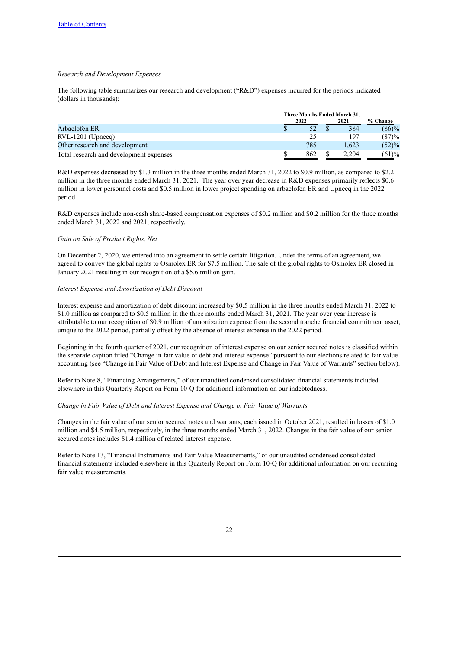## *Research and Development Expenses*

The following table summarizes our research and development ("R&D") expenses incurred for the periods indicated (dollars in thousands):

|                                         | Three Months Ended March 31. |     |  |       |          |
|-----------------------------------------|------------------------------|-----|--|-------|----------|
|                                         | 2022                         |     |  | 2021  | % Change |
| Arbaclofen ER                           |                              |     |  | 384   | (86)%    |
| $RVL-1201$ (Upneeq)                     |                              | 25  |  | 197   | (87)%    |
| Other research and development          |                              | 785 |  | 0.623 | (52)%    |
| Total research and development expenses |                              | 862 |  | 2.204 | (61)%    |

R&D expenses decreased by \$1.3 million in the three months ended March 31, 2022 to \$0.9 million, as compared to \$2.2 million in the three months ended March 31, 2021. The year over year decrease in R&D expenses primarily reflects \$0.6 million in lower personnel costs and \$0.5 million in lower project spending on arbaclofen ER and Upneeq in the 2022 period.

R&D expenses include non-cash share-based compensation expenses of \$0.2 million and \$0.2 million for the three months ended March 31, 2022 and 2021, respectively.

#### *Gain on Sale of Product Rights, Net*

On December 2, 2020, we entered into an agreement to settle certain litigation. Under the terms of an agreement, we agreed to convey the global rights to Osmolex ER for \$7.5 million. The sale of the global rights to Osmolex ER closed in January 2021 resulting in our recognition of a \$5.6 million gain.

#### *Interest Expense and Amortization of Debt Discount*

Interest expense and amortization of debt discount increased by \$0.5 million in the three months ended March 31, 2022 to \$1.0 million as compared to \$0.5 million in the three months ended March 31, 2021. The year over year increase is attributable to our recognition of \$0.9 million of amortization expense from the second tranche financial commitment asset, unique to the 2022 period, partially offset by the absence of interest expense in the 2022 period.

Beginning in the fourth quarter of 2021, our recognition of interest expense on our senior secured notes is classified within the separate caption titled "Change in fair value of debt and interest expense" pursuant to our elections related to fair value accounting (see "Change in Fair Value of Debt and Interest Expense and Change in Fair Value of Warrants" section below).

Refer to Note 8, "Financing Arrangements," of our unaudited condensed consolidated financial statements included elsewhere in this Quarterly Report on Form 10-Q for additional information on our indebtedness.

## *Change in Fair Value of Debt and Interest Expense and Change in Fair Value of Warrants*

Changes in the fair value of our senior secured notes and warrants, each issued in October 2021, resulted in losses of \$1.0 million and \$4.5 million, respectively, in the three months ended March 31, 2022. Changes in the fair value of our senior secured notes includes \$1.4 million of related interest expense.

Refer to Note 13, "Financial Instruments and Fair Value Measurements," of our unaudited condensed consolidated financial statements included elsewhere in this Quarterly Report on Form 10-Q for additional information on our recurring fair value measurements.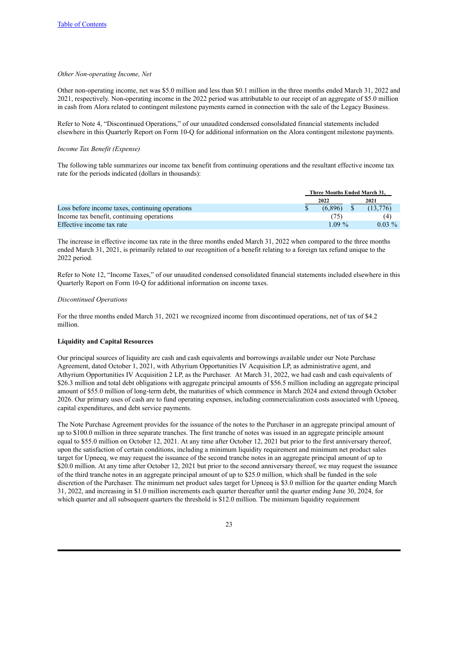#### *Other Non-operating Income, Net*

Other non-operating income, net was \$5.0 million and less than \$0.1 million in the three months ended March 31, 2022 and 2021, respectively. Non-operating income in the 2022 period was attributable to our receipt of an aggregate of \$5.0 million in cash from Alora related to contingent milestone payments earned in connection with the sale of the Legacy Business.

Refer to Note 4, "Discontinued Operations," of our unaudited condensed consolidated financial statements included elsewhere in this Quarterly Report on Form 10-Q for additional information on the Alora contingent milestone payments.

#### *Income Tax Benefit (Expense)*

The following table summarizes our income tax benefit from continuing operations and the resultant effective income tax rate for the periods indicated (dollars in thousands):

|                                                 | <b>Three Months Ended March 31.</b> |  |          |  |
|-------------------------------------------------|-------------------------------------|--|----------|--|
|                                                 | 2022                                |  | 2021     |  |
| Loss before income taxes, continuing operations | (6.896)                             |  | (13.776) |  |
| Income tax benefit, continuing operations       | (75)                                |  | (4)      |  |
| Effective income tax rate                       | $1.09\%$                            |  | $0.03\%$ |  |

The increase in effective income tax rate in the three months ended March 31, 2022 when compared to the three months ended March 31, 2021, is primarily related to our recognition of a benefit relating to a foreign tax refund unique to the 2022 period.

Refer to Note 12, "Income Taxes," of our unaudited condensed consolidated financial statements included elsewhere in this Quarterly Report on Form 10-Q for additional information on income taxes.

#### *Discontinued Operations*

For the three months ended March 31, 2021 we recognized income from discontinued operations, net of tax of \$4.2 million.

### **Liquidity and Capital Resources**

Our principal sources of liquidity are cash and cash equivalents and borrowings available under our Note Purchase Agreement, dated October 1, 2021, with Athyrium Opportunities IV Acquisition LP, as administrative agent, and Athyrium Opportunities IV Acquisition 2 LP, as the Purchaser. At March 31, 2022, we had cash and cash equivalents of \$26.3 million and total debt obligations with aggregate principal amounts of \$56.5 million including an aggregate principal amount of \$55.0 million of long-term debt, the maturities of which commence in March 2024 and extend through October 2026. Our primary uses of cash are to fund operating expenses, including commercialization costs associated with Upneeq, capital expenditures, and debt service payments.

The Note Purchase Agreement provides for the issuance of the notes to the Purchaser in an aggregate principal amount of up to \$100.0 million in three separate tranches. The first tranche of notes was issued in an aggregate principle amount equal to \$55.0 million on October 12, 2021. At any time after October 12, 2021 but prior to the first anniversary thereof, upon the satisfaction of certain conditions, including a minimum liquidity requirement and minimum net product sales target for Upneeq, we may request the issuance of the second tranche notes in an aggregate principal amount of up to \$20.0 million. At any time after October 12, 2021 but prior to the second anniversary thereof, we may request the issuance of the third tranche notes in an aggregate principal amount of up to \$25.0 million, which shall be funded in the sole discretion of the Purchaser. The minimum net product sales target for Upneeq is \$3.0 million for the quarter ending March 31, 2022, and increasing in \$1.0 million increments each quarter thereafter until the quarter ending June 30, 2024, for which quarter and all subsequent quarters the threshold is \$12.0 million. The minimum liquidity requirement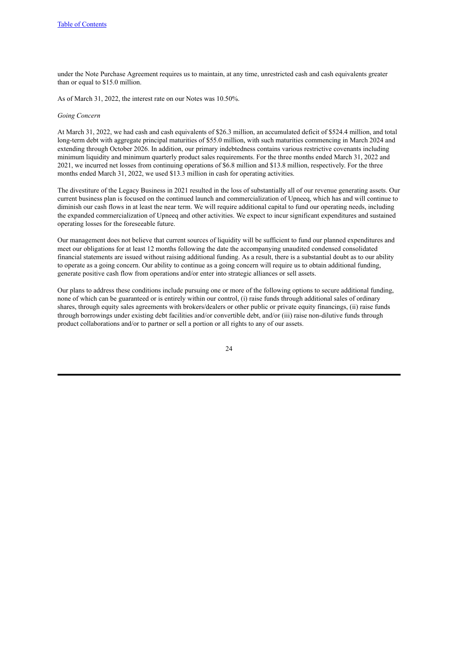under the Note Purchase Agreement requires us to maintain, at any time, unrestricted cash and cash equivalents greater than or equal to \$15.0 million.

As of March 31, 2022, the interest rate on our Notes was 10.50%.

#### *Going Concern*

At March 31, 2022, we had cash and cash equivalents of \$26.3 million, an accumulated deficit of \$524.4 million, and total long-term debt with aggregate principal maturities of \$55.0 million, with such maturities commencing in March 2024 and extending through October 2026. In addition, our primary indebtedness contains various restrictive covenants including minimum liquidity and minimum quarterly product sales requirements. For the three months ended March 31, 2022 and 2021, we incurred net losses from continuing operations of \$6.8 million and \$13.8 million, respectively. For the three months ended March 31, 2022, we used \$13.3 million in cash for operating activities.

The divestiture of the Legacy Business in 2021 resulted in the loss of substantially all of our revenue generating assets. Our current business plan is focused on the continued launch and commercialization of Upneeq, which has and will continue to diminish our cash flows in at least the near term. We will require additional capital to fund our operating needs, including the expanded commercialization of Upneeq and other activities. We expect to incur significant expenditures and sustained operating losses for the foreseeable future.

Our management does not believe that current sources of liquidity will be sufficient to fund our planned expenditures and meet our obligations for at least 12 months following the date the accompanying unaudited condensed consolidated financial statements are issued without raising additional funding. As a result, there is a substantial doubt as to our ability to operate as a going concern. Our ability to continue as a going concern will require us to obtain additional funding, generate positive cash flow from operations and/or enter into strategic alliances or sell assets.

Our plans to address these conditions include pursuing one or more of the following options to secure additional funding, none of which can be guaranteed or is entirely within our control, (i) raise funds through additional sales of ordinary shares, through equity sales agreements with brokers/dealers or other public or private equity financings, (ii) raise funds through borrowings under existing debt facilities and/or convertible debt, and/or (iii) raise non-dilutive funds through product collaborations and/or to partner or sell a portion or all rights to any of our assets.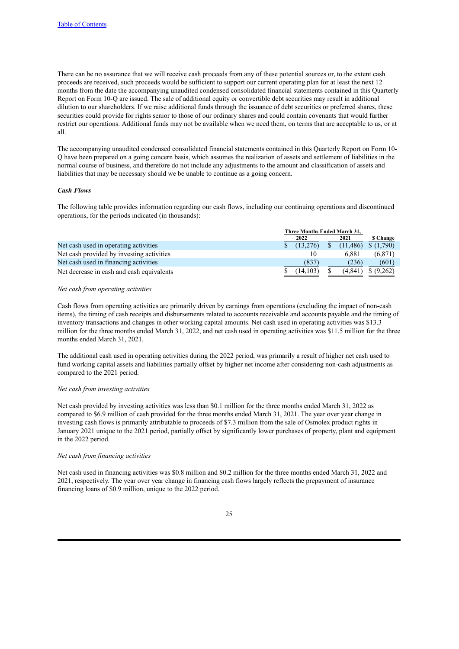There can be no assurance that we will receive cash proceeds from any of these potential sources or, to the extent cash proceeds are received, such proceeds would be sufficient to support our current operating plan for at least the next 12 months from the date the accompanying unaudited condensed consolidated financial statements contained in this Quarterly Report on Form 10-Q are issued. The sale of additional equity or convertible debt securities may result in additional dilution to our shareholders. If we raise additional funds through the issuance of debt securities or preferred shares, these securities could provide for rights senior to those of our ordinary shares and could contain covenants that would further restrict our operations. Additional funds may not be available when we need them, on terms that are acceptable to us, or at all.

The accompanying unaudited condensed consolidated financial statements contained in this Quarterly Report on Form 10- Q have been prepared on a going concern basis, which assumes the realization of assets and settlement of liabilities in the normal course of business, and therefore do not include any adjustments to the amount and classification of assets and liabilities that may be necessary should we be unable to continue as a going concern.

### *Cash Flows*

The following table provides information regarding our cash flows, including our continuing operations and discontinued operations, for the periods indicated (in thousands):

|                                           | Three Months Ended March 31, |          |  |          |                 |
|-------------------------------------------|------------------------------|----------|--|----------|-----------------|
|                                           |                              | 2022     |  | 2021     | <b>S</b> Change |
| Net cash used in operating activities     |                              | (13.276) |  | (11.486) | \$(1,790)       |
| Net cash provided by investing activities |                              | 10       |  | 6.881    | (6, 871)        |
| Net cash used in financing activities     |                              | (837)    |  | (236)    | (601)           |
| Net decrease in cash and cash equivalents |                              | (14.103) |  | (4.841)  | (9,262)         |

## *Net cash from operating activities*

Cash flows from operating activities are primarily driven by earnings from operations (excluding the impact of non-cash items), the timing of cash receipts and disbursements related to accounts receivable and accounts payable and the timing of inventory transactions and changes in other working capital amounts. Net cash used in operating activities was \$13.3 million for the three months ended March 31, 2022, and net cash used in operating activities was \$11.5 million for the three months ended March 31, 2021.

The additional cash used in operating activities during the 2022 period, was primarily a result of higher net cash used to fund working capital assets and liabilities partially offset by higher net income after considering non-cash adjustments as compared to the 2021 period.

#### *Net cash from investing activities*

Net cash provided by investing activities was less than \$0.1 million for the three months ended March 31, 2022 as compared to \$6.9 million of cash provided for the three months ended March 31, 2021. The year over year change in investing cash flows is primarily attributable to proceeds of \$7.3 million from the sale of Osmolex product rights in January 2021 unique to the 2021 period, partially offset by significantly lower purchases of property, plant and equipment in the 2022 period.

#### *Net cash from financing activities*

Net cash used in financing activities was \$0.8 million and \$0.2 million for the three months ended March 31, 2022 and 2021, respectively. The year over year change in financing cash flows largely reflects the prepayment of insurance financing loans of \$0.9 million, unique to the 2022 period.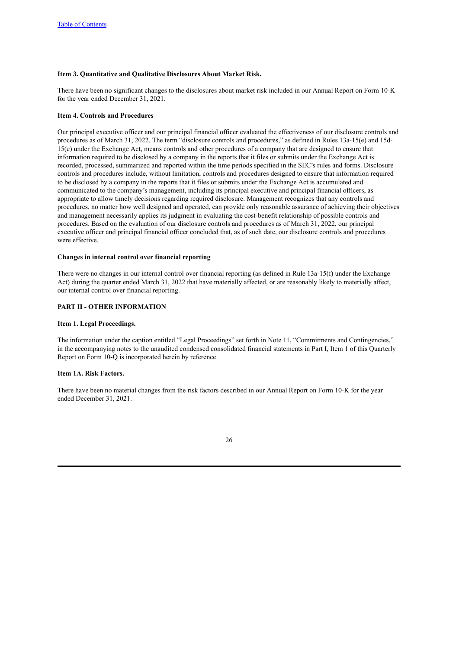## <span id="page-25-0"></span>**Item 3. Quantitative and Qualitative Disclosures About Market Risk.**

There have been no significant changes to the disclosures about market risk included in our Annual Report on Form 10-K for the year ended December 31, 2021.

### <span id="page-25-1"></span>**Item 4. Controls and Procedures**

Our principal executive officer and our principal financial officer evaluated the effectiveness of our disclosure controls and procedures as of March 31, 2022. The term "disclosure controls and procedures," as defined in Rules 13a-15(e) and 15d-15(e) under the Exchange Act, means controls and other procedures of a company that are designed to ensure that information required to be disclosed by a company in the reports that it files or submits under the Exchange Act is recorded, processed, summarized and reported within the time periods specified in the SEC's rules and forms. Disclosure controls and procedures include, without limitation, controls and procedures designed to ensure that information required to be disclosed by a company in the reports that it files or submits under the Exchange Act is accumulated and communicated to the company's management, including its principal executive and principal financial officers, as appropriate to allow timely decisions regarding required disclosure. Management recognizes that any controls and procedures, no matter how well designed and operated, can provide only reasonable assurance of achieving their objectives and management necessarily applies its judgment in evaluating the cost-benefit relationship of possible controls and procedures. Based on the evaluation of our disclosure controls and procedures as of March 31, 2022, our principal executive officer and principal financial officer concluded that, as of such date, our disclosure controls and procedures were effective.

## **Changes in internal control over financial reporting**

There were no changes in our internal control over financial reporting (as defined in Rule 13a-15(f) under the Exchange Act) during the quarter ended March 31, 2022 that have materially affected, or are reasonably likely to materially affect, our internal control over financial reporting.

## <span id="page-25-2"></span>**PART II - OTHER INFORMATION**

#### <span id="page-25-3"></span>**Item 1. Legal Proceedings.**

The information under the caption entitled "Legal Proceedings" set forth in Note 11, "Commitments and Contingencies," in the accompanying notes to the unaudited condensed consolidated financial statements in Part I, Item 1 of this Quarterly Report on Form 10-Q is incorporated herein by reference.

## <span id="page-25-4"></span>**Item 1A. Risk Factors.**

There have been no material changes from the risk factors described in our Annual Report on Form 10-K for the year ended December 31, 2021.

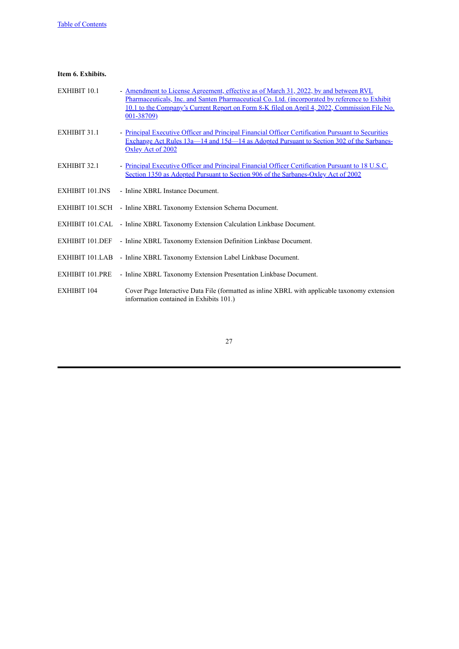<span id="page-26-0"></span>

| Item 6. Exhibits.      |                                                                                                                                                                                                                                                                                                      |
|------------------------|------------------------------------------------------------------------------------------------------------------------------------------------------------------------------------------------------------------------------------------------------------------------------------------------------|
| <b>EXHIBIT 10.1</b>    | - Amendment to License Agreement, effective as of March 31, 2022, by and between RVL<br>Pharmaceuticals, Inc. and Santen Pharmaceutical Co. Ltd. (incorporated by reference to Exhibit<br>10.1 to the Company's Current Report on Form 8-K filed on April 4, 2022, Commission File No.<br>001-38709) |
| EXHIBIT 31.1           | - Principal Executive Officer and Principal Financial Officer Certification Pursuant to Securities<br>Exchange Act Rules 13a—14 and 15d—14 as Adopted Pursuant to Section 302 of the Sarbanes-<br>Oxley Act of 2002                                                                                  |
| EXHIBIT 32.1           | - Principal Executive Officer and Principal Financial Officer Certification Pursuant to 18 U.S.C.<br>Section 1350 as Adopted Pursuant to Section 906 of the Sarbanes-Oxley Act of 2002                                                                                                               |
| <b>EXHIBIT 101.INS</b> | - Inline XBRL Instance Document.                                                                                                                                                                                                                                                                     |
|                        | EXHIBIT 101.SCH - Inline XBRL Taxonomy Extension Schema Document.                                                                                                                                                                                                                                    |
|                        | EXHIBIT 101.CAL - Inline XBRL Taxonomy Extension Calculation Linkbase Document.                                                                                                                                                                                                                      |
| <b>EXHIBIT 101.DEF</b> | - Inline XBRL Taxonomy Extension Definition Linkbase Document.                                                                                                                                                                                                                                       |
| EXHIBIT 101.LAB        | - Inline XBRL Taxonomy Extension Label Linkbase Document.                                                                                                                                                                                                                                            |
| <b>EXHIBIT 101.PRE</b> | - Inline XBRL Taxonomy Extension Presentation Linkbase Document.                                                                                                                                                                                                                                     |
| <b>EXHIBIT 104</b>     | Cover Page Interactive Data File (formatted as inline XBRL with applicable taxonomy extension<br>information contained in Exhibits 101.)                                                                                                                                                             |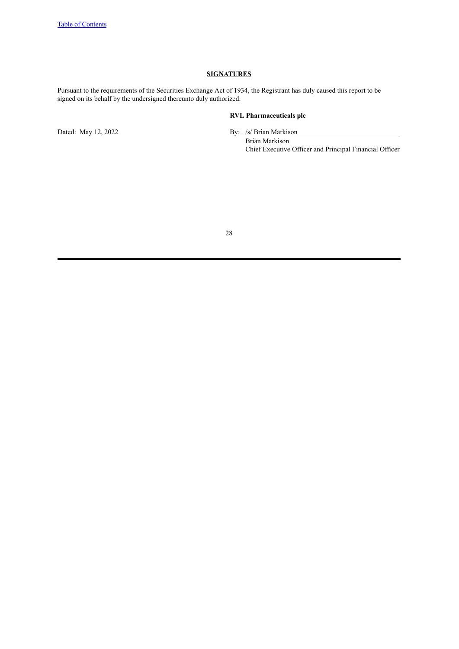## **SIGNATURES**

<span id="page-27-0"></span>Pursuant to the requirements of the Securities Exchange Act of 1934, the Registrant has duly caused this report to be signed on its behalf by the undersigned thereunto duly authorized.

## **RVL Pharmaceuticals plc**

Dated: May 12, 2022 By: /s/ Brian Markison

Brian Markison Chief Executive Officer and Principal Financial Officer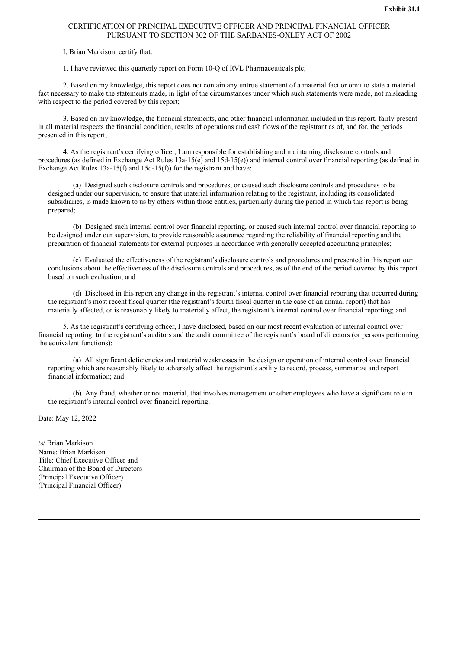## <span id="page-28-0"></span>CERTIFICATION OF PRINCIPAL EXECUTIVE OFFICER AND PRINCIPAL FINANCIAL OFFICER PURSUANT TO SECTION 302 OF THE SARBANES-OXLEY ACT OF 2002

## I, Brian Markison, certify that:

1. I have reviewed this quarterly report on Form 10-Q of RVL Pharmaceuticals plc;

2. Based on my knowledge, this report does not contain any untrue statement of a material fact or omit to state a material fact necessary to make the statements made, in light of the circumstances under which such statements were made, not misleading with respect to the period covered by this report:

3. Based on my knowledge, the financial statements, and other financial information included in this report, fairly present in all material respects the financial condition, results of operations and cash flows of the registrant as of, and for, the periods presented in this report;

4. As the registrant's certifying officer, I am responsible for establishing and maintaining disclosure controls and procedures (as defined in Exchange Act Rules 13a-15(e) and 15d-15(e)) and internal control over financial reporting (as defined in Exchange Act Rules  $13a-15(f)$  and  $15d-15(f)$  for the registrant and have:

(a) Designed such disclosure controls and procedures, or caused such disclosure controls and procedures to be designed under our supervision, to ensure that material information relating to the registrant, including its consolidated subsidiaries, is made known to us by others within those entities, particularly during the period in which this report is being prepared;

(b) Designed such internal control over financial reporting, or caused such internal control over financial reporting to be designed under our supervision, to provide reasonable assurance regarding the reliability of financial reporting and the preparation of financial statements for external purposes in accordance with generally accepted accounting principles;

(c) Evaluated the effectiveness of the registrant's disclosure controls and procedures and presented in this report our conclusions about the effectiveness of the disclosure controls and procedures, as of the end of the period covered by this report based on such evaluation; and

(d) Disclosed in this report any change in the registrant's internal control over financial reporting that occurred during the registrant's most recent fiscal quarter (the registrant's fourth fiscal quarter in the case of an annual report) that has materially affected, or is reasonably likely to materially affect, the registrant's internal control over financial reporting; and

5. As the registrant's certifying officer, I have disclosed, based on our most recent evaluation of internal control over financial reporting, to the registrant's auditors and the audit committee of the registrant's board of directors (or persons performing the equivalent functions):

(a) All significant deficiencies and material weaknesses in the design or operation of internal control over financial reporting which are reasonably likely to adversely affect the registrant's ability to record, process, summarize and report financial information; and

(b) Any fraud, whether or not material, that involves management or other employees who have a significant role in the registrant's internal control over financial reporting.

Date: May 12, 2022

## /s/ Brian Markison Name: Brian Markison Title: Chief Executive Officer and Chairman of the Board of Directors (Principal Executive Officer) (Principal Financial Officer)